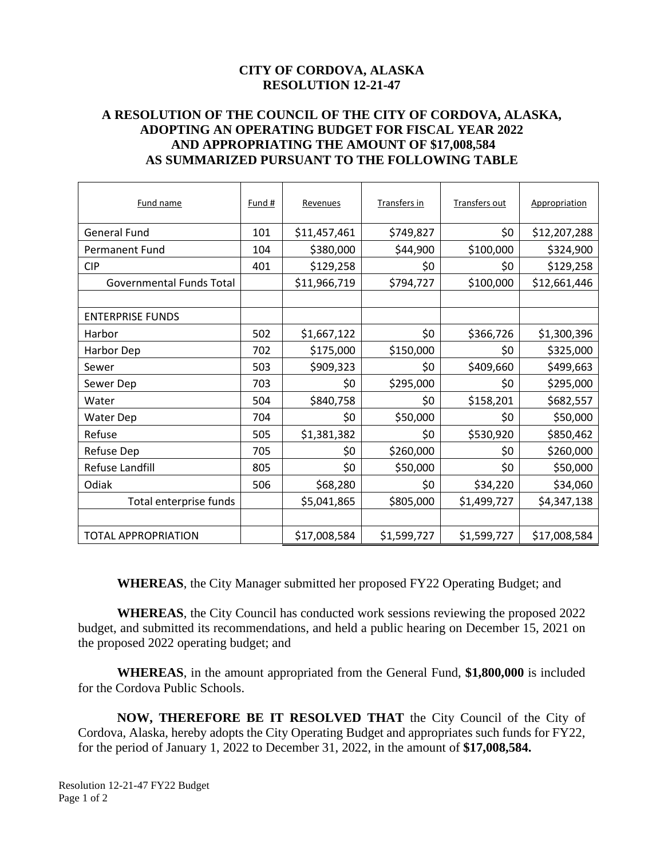#### **CITY OF CORDOVA, ALASKA RESOLUTION 12-21-47**

#### **A RESOLUTION OF THE COUNCIL OF THE CITY OF CORDOVA, ALASKA, ADOPTING AN OPERATING BUDGET FOR FISCAL YEAR 2022 AND APPROPRIATING THE AMOUNT OF \$17,008,584 AS SUMMARIZED PURSUANT TO THE FOLLOWING TABLE**

| Fund name                  | Fund # | Revenues     | <b>Transfers in</b> | Transfers out | Appropriation |
|----------------------------|--------|--------------|---------------------|---------------|---------------|
| <b>General Fund</b>        | 101    | \$11,457,461 | \$749,827           | \$0           | \$12,207,288  |
| <b>Permanent Fund</b>      | 104    | \$380,000    | \$44,900            | \$100,000     | \$324,900     |
| <b>CIP</b>                 | 401    | \$129,258    | \$0                 | \$0           | \$129,258     |
| Governmental Funds Total   |        | \$11,966,719 | \$794,727           | \$100,000     | \$12,661,446  |
|                            |        |              |                     |               |               |
| <b>ENTERPRISE FUNDS</b>    |        |              |                     |               |               |
| Harbor                     | 502    | \$1,667,122  | \$0                 | \$366,726     | \$1,300,396   |
| Harbor Dep                 | 702    | \$175,000    | \$150,000           | \$0           | \$325,000     |
| Sewer                      | 503    | \$909,323    | \$0                 | \$409,660     | \$499,663     |
| Sewer Dep                  | 703    | \$0          | \$295,000           | \$0           | \$295,000     |
| Water                      | 504    | \$840,758    | \$0                 | \$158,201     | \$682,557     |
| <b>Water Dep</b>           | 704    | \$0          | \$50,000            | \$0           | \$50,000      |
| Refuse                     | 505    | \$1,381,382  | \$0                 | \$530,920     | \$850,462     |
| Refuse Dep                 | 705    | \$0          | \$260,000           | \$0           | \$260,000     |
| Refuse Landfill            | 805    | \$0          | \$50,000            | \$0           | \$50,000      |
| Odiak                      | 506    | \$68,280     | \$0                 | \$34,220      | \$34,060      |
| Total enterprise funds     |        | \$5,041,865  | \$805,000           | \$1,499,727   | \$4,347,138   |
|                            |        |              |                     |               |               |
| <b>TOTAL APPROPRIATION</b> |        | \$17,008,584 | \$1,599,727         | \$1,599,727   | \$17,008,584  |

**WHEREAS**, the City Manager submitted her proposed FY22 Operating Budget; and

**WHEREAS**, the City Council has conducted work sessions reviewing the proposed 2022 budget, and submitted its recommendations, and held a public hearing on December 15, 2021 on the proposed 2022 operating budget; and

**WHEREAS**, in the amount appropriated from the General Fund, **\$1,800,000** is included for the Cordova Public Schools.

**NOW, THEREFORE BE IT RESOLVED THAT** the City Council of the City of Cordova, Alaska, hereby adopts the City Operating Budget and appropriates such funds for FY22, for the period of January 1, 2022 to December 31, 2022, in the amount of **\$17,008,584.**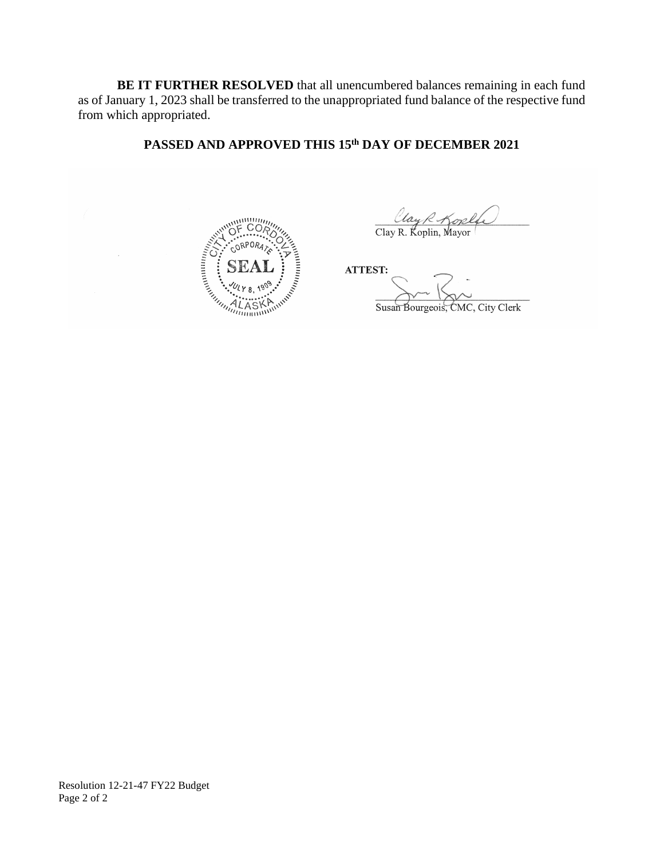**BE IT FURTHER RESOLVED** that all unencumbered balances remaining in each fund as of January 1, 2023 shall be transferred to the unappropriated fund balance of the respective fund from which appropriated.

## **PASSED AND APPROVED THIS 15th DAY OF DECEMBER 2021**



Clay R. Koplin, Mayor

ATTEST:

 $S_{\text{S}}$   $\Box$ Susan Bourgeois, CMC, City Clerk

Resolution 12-21-47 FY22 Budget Page 2 of 2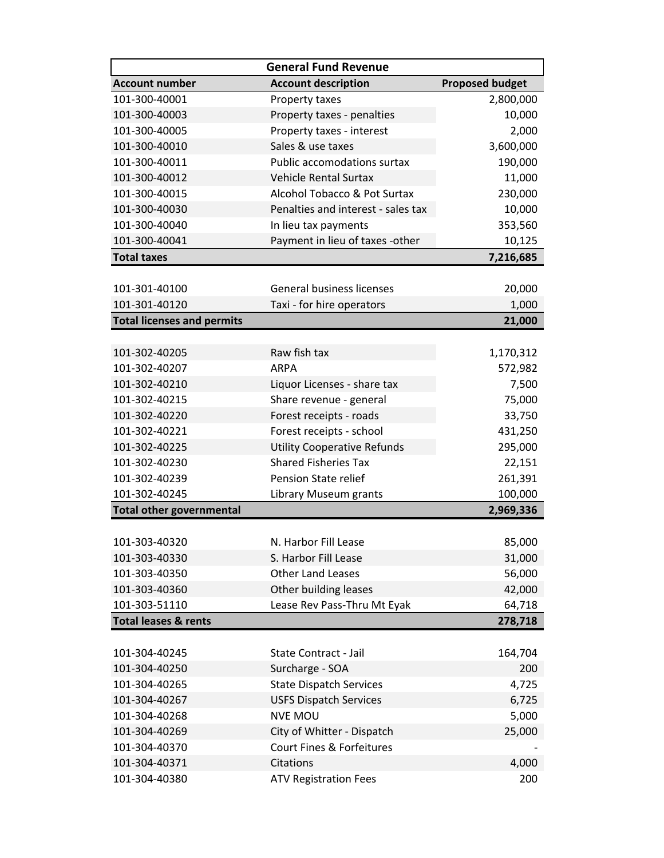| <b>General Fund Revenue</b>       |                                    |                        |  |
|-----------------------------------|------------------------------------|------------------------|--|
| <b>Account number</b>             | <b>Account description</b>         | <b>Proposed budget</b> |  |
| 101-300-40001                     | Property taxes                     | 2,800,000              |  |
| 101-300-40003                     | Property taxes - penalties         | 10,000                 |  |
| 101-300-40005                     | Property taxes - interest          | 2,000                  |  |
| 101-300-40010                     | Sales & use taxes                  | 3,600,000              |  |
| 101-300-40011                     | <b>Public accomodations surtax</b> | 190,000                |  |
| 101-300-40012                     | <b>Vehicle Rental Surtax</b>       | 11,000                 |  |
| 101-300-40015                     | Alcohol Tobacco & Pot Surtax       | 230,000                |  |
| 101-300-40030                     | Penalties and interest - sales tax | 10,000                 |  |
| 101-300-40040                     | In lieu tax payments               | 353,560                |  |
| 101-300-40041                     | Payment in lieu of taxes -other    | 10,125                 |  |
| <b>Total taxes</b>                |                                    | 7,216,685              |  |
|                                   |                                    |                        |  |
| 101-301-40100                     | <b>General business licenses</b>   | 20,000                 |  |
| 101-301-40120                     | Taxi - for hire operators          | 1,000                  |  |
| <b>Total licenses and permits</b> |                                    | 21,000                 |  |
|                                   |                                    |                        |  |
| 101-302-40205                     | Raw fish tax                       | 1,170,312              |  |
| 101-302-40207                     | <b>ARPA</b>                        | 572,982                |  |
| 101-302-40210                     | Liquor Licenses - share tax        | 7,500                  |  |
| 101-302-40215                     | Share revenue - general            | 75,000                 |  |
| 101-302-40220                     | Forest receipts - roads            | 33,750                 |  |
| 101-302-40221                     | Forest receipts - school           | 431,250                |  |
| 101-302-40225                     | <b>Utility Cooperative Refunds</b> | 295,000                |  |
| 101-302-40230                     | <b>Shared Fisheries Tax</b>        | 22,151                 |  |
| 101-302-40239                     | Pension State relief               | 261,391                |  |
| 101-302-40245                     | Library Museum grants              | 100,000                |  |
| <b>Total other governmental</b>   |                                    | 2,969,336              |  |
|                                   |                                    |                        |  |
| 101-303-40320                     | N. Harbor Fill Lease               | 85,000                 |  |
| 101-303-40330                     | S. Harbor Fill Lease               | 31,000                 |  |
| 101-303-40350                     | <b>Other Land Leases</b>           | 56,000                 |  |
| 101-303-40360                     | Other building leases              | 42,000                 |  |
| 101-303-51110                     | Lease Rev Pass-Thru Mt Eyak        | 64,718                 |  |
| <b>Total leases &amp; rents</b>   |                                    | 278,718                |  |
|                                   |                                    |                        |  |
| 101-304-40245                     | State Contract - Jail              | 164,704                |  |
| 101-304-40250                     | Surcharge - SOA                    | 200                    |  |
| 101-304-40265                     | <b>State Dispatch Services</b>     | 4,725                  |  |
| 101-304-40267                     | <b>USFS Dispatch Services</b>      | 6,725                  |  |
| 101-304-40268                     | <b>NVE MOU</b>                     | 5,000                  |  |
| 101-304-40269                     | City of Whitter - Dispatch         | 25,000                 |  |
| 101-304-40370                     | Court Fines & Forfeitures          |                        |  |
| 101-304-40371                     | Citations                          | 4,000                  |  |
| 101-304-40380                     | <b>ATV Registration Fees</b>       | 200                    |  |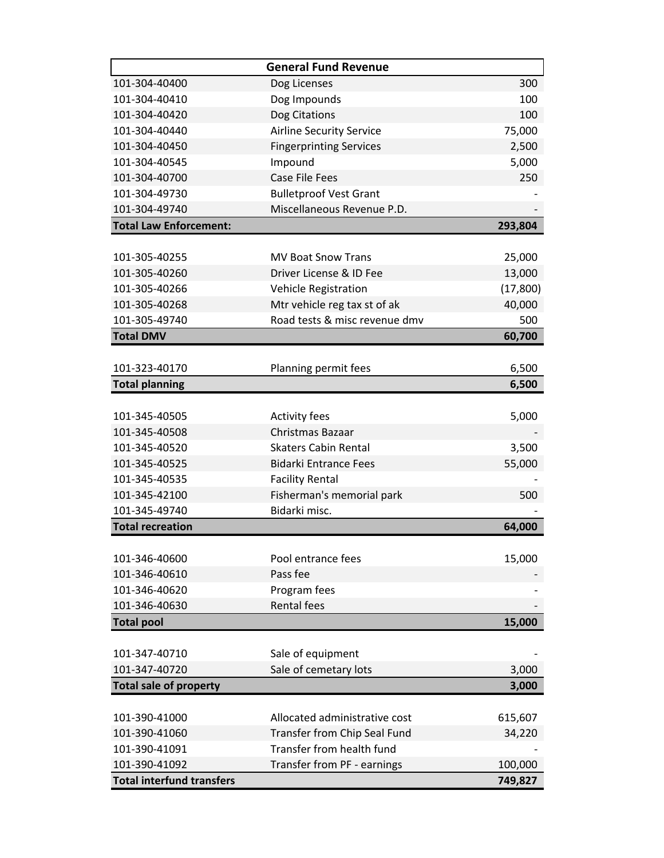| 300<br>101-304-40400<br>Dog Licenses<br>100<br>101-304-40410<br>Dog Impounds<br>101-304-40420<br>Dog Citations<br>100<br>101-304-40440<br><b>Airline Security Service</b><br>75,000<br>2,500<br>101-304-40450<br><b>Fingerprinting Services</b><br>101-304-40545<br>Impound<br>5,000<br><b>Case File Fees</b><br>101-304-40700<br>250<br>101-304-49730<br><b>Bulletproof Vest Grant</b><br>101-304-49740<br>Miscellaneous Revenue P.D.<br><b>Total Law Enforcement:</b><br>293,804<br>101-305-40255<br><b>MV Boat Snow Trans</b><br>25,000<br>101-305-40260<br>Driver License & ID Fee<br>13,000<br>101-305-40266<br><b>Vehicle Registration</b><br>(17, 800)<br>Mtr vehicle reg tax st of ak<br>40,000<br>101-305-40268<br>101-305-49740<br>Road tests & misc revenue dmv<br>500<br><b>Total DMV</b><br>60,700<br>101-323-40170<br>Planning permit fees<br>6,500<br><b>Total planning</b><br>6,500<br>101-345-40505<br><b>Activity fees</b><br>5,000<br>101-345-40508<br>Christmas Bazaar<br>101-345-40520<br><b>Skaters Cabin Rental</b><br>3,500<br>101-345-40525<br><b>Bidarki Entrance Fees</b><br>55,000<br>101-345-40535<br><b>Facility Rental</b><br>Fisherman's memorial park<br>101-345-42100<br>500<br>Bidarki misc.<br>101-345-49740<br><b>Total recreation</b><br>64,000<br>15,000<br>Pool entrance fees<br>101-346-40600<br>Pass fee<br>101-346-40610<br>101-346-40620<br>Program fees<br><b>Rental fees</b><br>101-346-40630<br>15,000<br><b>Total pool</b><br>101-347-40710<br>Sale of equipment<br>Sale of cemetary lots<br>3,000<br>101-347-40720<br><b>Total sale of property</b><br>3,000<br>101-390-41000<br>Allocated administrative cost<br>615,607<br>Transfer from Chip Seal Fund<br>101-390-41060<br>34,220<br>Transfer from health fund<br>101-390-41091<br>101-390-41092<br>Transfer from PF - earnings<br>100,000 |                                  | <b>General Fund Revenue</b> |         |
|------------------------------------------------------------------------------------------------------------------------------------------------------------------------------------------------------------------------------------------------------------------------------------------------------------------------------------------------------------------------------------------------------------------------------------------------------------------------------------------------------------------------------------------------------------------------------------------------------------------------------------------------------------------------------------------------------------------------------------------------------------------------------------------------------------------------------------------------------------------------------------------------------------------------------------------------------------------------------------------------------------------------------------------------------------------------------------------------------------------------------------------------------------------------------------------------------------------------------------------------------------------------------------------------------------------------------------------------------------------------------------------------------------------------------------------------------------------------------------------------------------------------------------------------------------------------------------------------------------------------------------------------------------------------------------------------------------------------------------------------------------------------------------------------------------------------------------------------|----------------------------------|-----------------------------|---------|
|                                                                                                                                                                                                                                                                                                                                                                                                                                                                                                                                                                                                                                                                                                                                                                                                                                                                                                                                                                                                                                                                                                                                                                                                                                                                                                                                                                                                                                                                                                                                                                                                                                                                                                                                                                                                                                                |                                  |                             |         |
|                                                                                                                                                                                                                                                                                                                                                                                                                                                                                                                                                                                                                                                                                                                                                                                                                                                                                                                                                                                                                                                                                                                                                                                                                                                                                                                                                                                                                                                                                                                                                                                                                                                                                                                                                                                                                                                |                                  |                             |         |
|                                                                                                                                                                                                                                                                                                                                                                                                                                                                                                                                                                                                                                                                                                                                                                                                                                                                                                                                                                                                                                                                                                                                                                                                                                                                                                                                                                                                                                                                                                                                                                                                                                                                                                                                                                                                                                                |                                  |                             |         |
|                                                                                                                                                                                                                                                                                                                                                                                                                                                                                                                                                                                                                                                                                                                                                                                                                                                                                                                                                                                                                                                                                                                                                                                                                                                                                                                                                                                                                                                                                                                                                                                                                                                                                                                                                                                                                                                |                                  |                             |         |
|                                                                                                                                                                                                                                                                                                                                                                                                                                                                                                                                                                                                                                                                                                                                                                                                                                                                                                                                                                                                                                                                                                                                                                                                                                                                                                                                                                                                                                                                                                                                                                                                                                                                                                                                                                                                                                                |                                  |                             |         |
|                                                                                                                                                                                                                                                                                                                                                                                                                                                                                                                                                                                                                                                                                                                                                                                                                                                                                                                                                                                                                                                                                                                                                                                                                                                                                                                                                                                                                                                                                                                                                                                                                                                                                                                                                                                                                                                |                                  |                             |         |
|                                                                                                                                                                                                                                                                                                                                                                                                                                                                                                                                                                                                                                                                                                                                                                                                                                                                                                                                                                                                                                                                                                                                                                                                                                                                                                                                                                                                                                                                                                                                                                                                                                                                                                                                                                                                                                                |                                  |                             |         |
|                                                                                                                                                                                                                                                                                                                                                                                                                                                                                                                                                                                                                                                                                                                                                                                                                                                                                                                                                                                                                                                                                                                                                                                                                                                                                                                                                                                                                                                                                                                                                                                                                                                                                                                                                                                                                                                |                                  |                             |         |
|                                                                                                                                                                                                                                                                                                                                                                                                                                                                                                                                                                                                                                                                                                                                                                                                                                                                                                                                                                                                                                                                                                                                                                                                                                                                                                                                                                                                                                                                                                                                                                                                                                                                                                                                                                                                                                                |                                  |                             |         |
|                                                                                                                                                                                                                                                                                                                                                                                                                                                                                                                                                                                                                                                                                                                                                                                                                                                                                                                                                                                                                                                                                                                                                                                                                                                                                                                                                                                                                                                                                                                                                                                                                                                                                                                                                                                                                                                |                                  |                             |         |
|                                                                                                                                                                                                                                                                                                                                                                                                                                                                                                                                                                                                                                                                                                                                                                                                                                                                                                                                                                                                                                                                                                                                                                                                                                                                                                                                                                                                                                                                                                                                                                                                                                                                                                                                                                                                                                                |                                  |                             |         |
|                                                                                                                                                                                                                                                                                                                                                                                                                                                                                                                                                                                                                                                                                                                                                                                                                                                                                                                                                                                                                                                                                                                                                                                                                                                                                                                                                                                                                                                                                                                                                                                                                                                                                                                                                                                                                                                |                                  |                             |         |
|                                                                                                                                                                                                                                                                                                                                                                                                                                                                                                                                                                                                                                                                                                                                                                                                                                                                                                                                                                                                                                                                                                                                                                                                                                                                                                                                                                                                                                                                                                                                                                                                                                                                                                                                                                                                                                                |                                  |                             |         |
|                                                                                                                                                                                                                                                                                                                                                                                                                                                                                                                                                                                                                                                                                                                                                                                                                                                                                                                                                                                                                                                                                                                                                                                                                                                                                                                                                                                                                                                                                                                                                                                                                                                                                                                                                                                                                                                |                                  |                             |         |
|                                                                                                                                                                                                                                                                                                                                                                                                                                                                                                                                                                                                                                                                                                                                                                                                                                                                                                                                                                                                                                                                                                                                                                                                                                                                                                                                                                                                                                                                                                                                                                                                                                                                                                                                                                                                                                                |                                  |                             |         |
|                                                                                                                                                                                                                                                                                                                                                                                                                                                                                                                                                                                                                                                                                                                                                                                                                                                                                                                                                                                                                                                                                                                                                                                                                                                                                                                                                                                                                                                                                                                                                                                                                                                                                                                                                                                                                                                |                                  |                             |         |
|                                                                                                                                                                                                                                                                                                                                                                                                                                                                                                                                                                                                                                                                                                                                                                                                                                                                                                                                                                                                                                                                                                                                                                                                                                                                                                                                                                                                                                                                                                                                                                                                                                                                                                                                                                                                                                                |                                  |                             |         |
|                                                                                                                                                                                                                                                                                                                                                                                                                                                                                                                                                                                                                                                                                                                                                                                                                                                                                                                                                                                                                                                                                                                                                                                                                                                                                                                                                                                                                                                                                                                                                                                                                                                                                                                                                                                                                                                |                                  |                             |         |
|                                                                                                                                                                                                                                                                                                                                                                                                                                                                                                                                                                                                                                                                                                                                                                                                                                                                                                                                                                                                                                                                                                                                                                                                                                                                                                                                                                                                                                                                                                                                                                                                                                                                                                                                                                                                                                                |                                  |                             |         |
|                                                                                                                                                                                                                                                                                                                                                                                                                                                                                                                                                                                                                                                                                                                                                                                                                                                                                                                                                                                                                                                                                                                                                                                                                                                                                                                                                                                                                                                                                                                                                                                                                                                                                                                                                                                                                                                |                                  |                             |         |
|                                                                                                                                                                                                                                                                                                                                                                                                                                                                                                                                                                                                                                                                                                                                                                                                                                                                                                                                                                                                                                                                                                                                                                                                                                                                                                                                                                                                                                                                                                                                                                                                                                                                                                                                                                                                                                                |                                  |                             |         |
|                                                                                                                                                                                                                                                                                                                                                                                                                                                                                                                                                                                                                                                                                                                                                                                                                                                                                                                                                                                                                                                                                                                                                                                                                                                                                                                                                                                                                                                                                                                                                                                                                                                                                                                                                                                                                                                |                                  |                             |         |
|                                                                                                                                                                                                                                                                                                                                                                                                                                                                                                                                                                                                                                                                                                                                                                                                                                                                                                                                                                                                                                                                                                                                                                                                                                                                                                                                                                                                                                                                                                                                                                                                                                                                                                                                                                                                                                                |                                  |                             |         |
|                                                                                                                                                                                                                                                                                                                                                                                                                                                                                                                                                                                                                                                                                                                                                                                                                                                                                                                                                                                                                                                                                                                                                                                                                                                                                                                                                                                                                                                                                                                                                                                                                                                                                                                                                                                                                                                |                                  |                             |         |
|                                                                                                                                                                                                                                                                                                                                                                                                                                                                                                                                                                                                                                                                                                                                                                                                                                                                                                                                                                                                                                                                                                                                                                                                                                                                                                                                                                                                                                                                                                                                                                                                                                                                                                                                                                                                                                                |                                  |                             |         |
|                                                                                                                                                                                                                                                                                                                                                                                                                                                                                                                                                                                                                                                                                                                                                                                                                                                                                                                                                                                                                                                                                                                                                                                                                                                                                                                                                                                                                                                                                                                                                                                                                                                                                                                                                                                                                                                |                                  |                             |         |
|                                                                                                                                                                                                                                                                                                                                                                                                                                                                                                                                                                                                                                                                                                                                                                                                                                                                                                                                                                                                                                                                                                                                                                                                                                                                                                                                                                                                                                                                                                                                                                                                                                                                                                                                                                                                                                                |                                  |                             |         |
|                                                                                                                                                                                                                                                                                                                                                                                                                                                                                                                                                                                                                                                                                                                                                                                                                                                                                                                                                                                                                                                                                                                                                                                                                                                                                                                                                                                                                                                                                                                                                                                                                                                                                                                                                                                                                                                |                                  |                             |         |
|                                                                                                                                                                                                                                                                                                                                                                                                                                                                                                                                                                                                                                                                                                                                                                                                                                                                                                                                                                                                                                                                                                                                                                                                                                                                                                                                                                                                                                                                                                                                                                                                                                                                                                                                                                                                                                                |                                  |                             |         |
|                                                                                                                                                                                                                                                                                                                                                                                                                                                                                                                                                                                                                                                                                                                                                                                                                                                                                                                                                                                                                                                                                                                                                                                                                                                                                                                                                                                                                                                                                                                                                                                                                                                                                                                                                                                                                                                |                                  |                             |         |
|                                                                                                                                                                                                                                                                                                                                                                                                                                                                                                                                                                                                                                                                                                                                                                                                                                                                                                                                                                                                                                                                                                                                                                                                                                                                                                                                                                                                                                                                                                                                                                                                                                                                                                                                                                                                                                                |                                  |                             |         |
|                                                                                                                                                                                                                                                                                                                                                                                                                                                                                                                                                                                                                                                                                                                                                                                                                                                                                                                                                                                                                                                                                                                                                                                                                                                                                                                                                                                                                                                                                                                                                                                                                                                                                                                                                                                                                                                |                                  |                             |         |
|                                                                                                                                                                                                                                                                                                                                                                                                                                                                                                                                                                                                                                                                                                                                                                                                                                                                                                                                                                                                                                                                                                                                                                                                                                                                                                                                                                                                                                                                                                                                                                                                                                                                                                                                                                                                                                                |                                  |                             |         |
|                                                                                                                                                                                                                                                                                                                                                                                                                                                                                                                                                                                                                                                                                                                                                                                                                                                                                                                                                                                                                                                                                                                                                                                                                                                                                                                                                                                                                                                                                                                                                                                                                                                                                                                                                                                                                                                |                                  |                             |         |
|                                                                                                                                                                                                                                                                                                                                                                                                                                                                                                                                                                                                                                                                                                                                                                                                                                                                                                                                                                                                                                                                                                                                                                                                                                                                                                                                                                                                                                                                                                                                                                                                                                                                                                                                                                                                                                                |                                  |                             |         |
|                                                                                                                                                                                                                                                                                                                                                                                                                                                                                                                                                                                                                                                                                                                                                                                                                                                                                                                                                                                                                                                                                                                                                                                                                                                                                                                                                                                                                                                                                                                                                                                                                                                                                                                                                                                                                                                |                                  |                             |         |
|                                                                                                                                                                                                                                                                                                                                                                                                                                                                                                                                                                                                                                                                                                                                                                                                                                                                                                                                                                                                                                                                                                                                                                                                                                                                                                                                                                                                                                                                                                                                                                                                                                                                                                                                                                                                                                                |                                  |                             |         |
|                                                                                                                                                                                                                                                                                                                                                                                                                                                                                                                                                                                                                                                                                                                                                                                                                                                                                                                                                                                                                                                                                                                                                                                                                                                                                                                                                                                                                                                                                                                                                                                                                                                                                                                                                                                                                                                |                                  |                             |         |
|                                                                                                                                                                                                                                                                                                                                                                                                                                                                                                                                                                                                                                                                                                                                                                                                                                                                                                                                                                                                                                                                                                                                                                                                                                                                                                                                                                                                                                                                                                                                                                                                                                                                                                                                                                                                                                                |                                  |                             |         |
|                                                                                                                                                                                                                                                                                                                                                                                                                                                                                                                                                                                                                                                                                                                                                                                                                                                                                                                                                                                                                                                                                                                                                                                                                                                                                                                                                                                                                                                                                                                                                                                                                                                                                                                                                                                                                                                |                                  |                             |         |
|                                                                                                                                                                                                                                                                                                                                                                                                                                                                                                                                                                                                                                                                                                                                                                                                                                                                                                                                                                                                                                                                                                                                                                                                                                                                                                                                                                                                                                                                                                                                                                                                                                                                                                                                                                                                                                                |                                  |                             |         |
|                                                                                                                                                                                                                                                                                                                                                                                                                                                                                                                                                                                                                                                                                                                                                                                                                                                                                                                                                                                                                                                                                                                                                                                                                                                                                                                                                                                                                                                                                                                                                                                                                                                                                                                                                                                                                                                |                                  |                             |         |
|                                                                                                                                                                                                                                                                                                                                                                                                                                                                                                                                                                                                                                                                                                                                                                                                                                                                                                                                                                                                                                                                                                                                                                                                                                                                                                                                                                                                                                                                                                                                                                                                                                                                                                                                                                                                                                                |                                  |                             |         |
|                                                                                                                                                                                                                                                                                                                                                                                                                                                                                                                                                                                                                                                                                                                                                                                                                                                                                                                                                                                                                                                                                                                                                                                                                                                                                                                                                                                                                                                                                                                                                                                                                                                                                                                                                                                                                                                | <b>Total interfund transfers</b> |                             | 749,827 |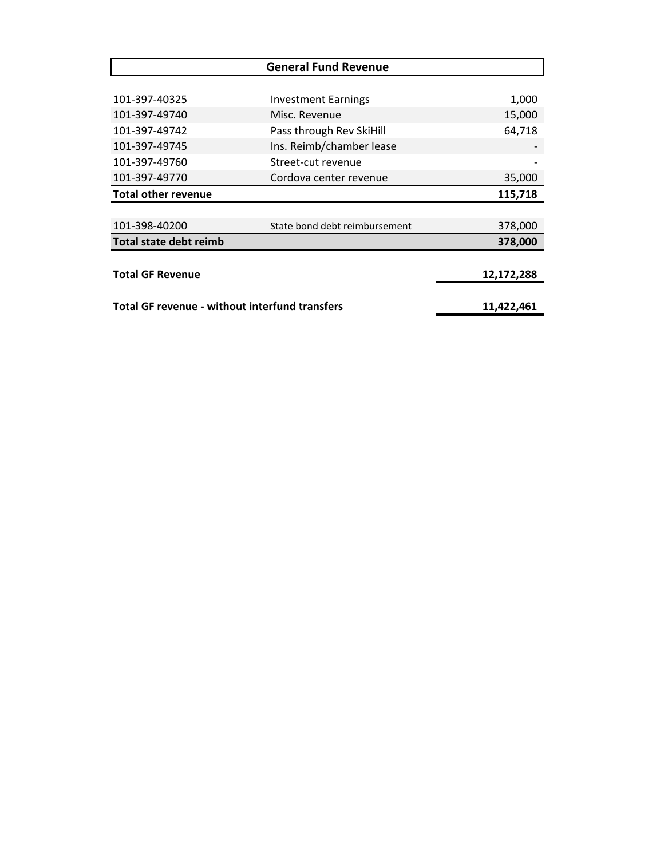| <b>General Fund Revenue</b>                           |                               |            |  |
|-------------------------------------------------------|-------------------------------|------------|--|
|                                                       |                               |            |  |
| 101-397-40325                                         | <b>Investment Earnings</b>    | 1,000      |  |
| 101-397-49740                                         | Misc. Revenue                 | 15,000     |  |
| 101-397-49742                                         | Pass through Rev SkiHill      | 64,718     |  |
| 101-397-49745                                         | Ins. Reimb/chamber lease      |            |  |
| 101-397-49760                                         | Street-cut revenue            |            |  |
| 101-397-49770                                         | Cordova center revenue        | 35,000     |  |
| <b>Total other revenue</b>                            |                               | 115,718    |  |
|                                                       |                               |            |  |
| 101-398-40200                                         | State bond debt reimbursement | 378,000    |  |
| Total state debt reimb                                |                               | 378,000    |  |
|                                                       |                               |            |  |
| <b>Total GF Revenue</b>                               |                               | 12,172,288 |  |
|                                                       |                               |            |  |
| <b>Total GF revenue - without interfund transfers</b> |                               | 11,422,461 |  |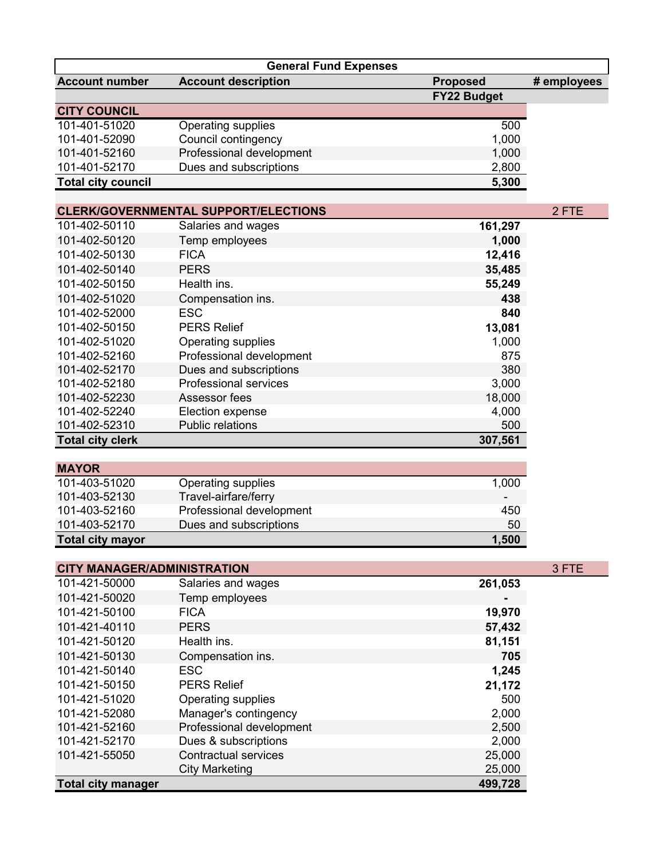| <b>Account number</b><br><b>Account description</b><br><b>Proposed</b><br># employees<br>FY22 Budget<br><b>CITY COUNCIL</b><br>101-401-51020<br><b>Operating supplies</b><br>500<br>1,000<br>101-401-52090<br>Council contingency<br>Professional development<br>101-401-52160<br>1,000<br>Dues and subscriptions<br>101-401-52170<br>2,800<br><b>Total city council</b><br>5,300<br>2 FTE<br><b>CLERK/GOVERNMENTAL SUPPORT/ELECTIONS</b><br>101-402-50110<br>161,297<br>Salaries and wages<br>101-402-50120<br>Temp employees<br>1,000 |
|-----------------------------------------------------------------------------------------------------------------------------------------------------------------------------------------------------------------------------------------------------------------------------------------------------------------------------------------------------------------------------------------------------------------------------------------------------------------------------------------------------------------------------------------|
|                                                                                                                                                                                                                                                                                                                                                                                                                                                                                                                                         |
|                                                                                                                                                                                                                                                                                                                                                                                                                                                                                                                                         |
|                                                                                                                                                                                                                                                                                                                                                                                                                                                                                                                                         |
|                                                                                                                                                                                                                                                                                                                                                                                                                                                                                                                                         |
|                                                                                                                                                                                                                                                                                                                                                                                                                                                                                                                                         |
|                                                                                                                                                                                                                                                                                                                                                                                                                                                                                                                                         |
|                                                                                                                                                                                                                                                                                                                                                                                                                                                                                                                                         |
|                                                                                                                                                                                                                                                                                                                                                                                                                                                                                                                                         |
|                                                                                                                                                                                                                                                                                                                                                                                                                                                                                                                                         |
|                                                                                                                                                                                                                                                                                                                                                                                                                                                                                                                                         |
|                                                                                                                                                                                                                                                                                                                                                                                                                                                                                                                                         |
| 101-402-50130<br><b>FICA</b><br>12,416                                                                                                                                                                                                                                                                                                                                                                                                                                                                                                  |
| <b>PERS</b><br>101-402-50140<br>35,485                                                                                                                                                                                                                                                                                                                                                                                                                                                                                                  |
| 101-402-50150<br>Health ins.<br>55,249                                                                                                                                                                                                                                                                                                                                                                                                                                                                                                  |
| 101-402-51020<br>438                                                                                                                                                                                                                                                                                                                                                                                                                                                                                                                    |
| Compensation ins.<br>101-402-52000<br><b>ESC</b><br>840                                                                                                                                                                                                                                                                                                                                                                                                                                                                                 |
| <b>PERS Relief</b>                                                                                                                                                                                                                                                                                                                                                                                                                                                                                                                      |
| 101-402-50150<br>13,081                                                                                                                                                                                                                                                                                                                                                                                                                                                                                                                 |
| 101-402-51020<br>1,000<br>Operating supplies<br>Professional development<br>875<br>101-402-52160                                                                                                                                                                                                                                                                                                                                                                                                                                        |
| 380<br>101-402-52170<br>Dues and subscriptions                                                                                                                                                                                                                                                                                                                                                                                                                                                                                          |
| <b>Professional services</b><br>3,000<br>101-402-52180                                                                                                                                                                                                                                                                                                                                                                                                                                                                                  |
| 101-402-52230<br>Assessor fees<br>18,000                                                                                                                                                                                                                                                                                                                                                                                                                                                                                                |
| 4,000<br>101-402-52240<br>Election expense                                                                                                                                                                                                                                                                                                                                                                                                                                                                                              |
| <b>Public relations</b><br>101-402-52310<br>500                                                                                                                                                                                                                                                                                                                                                                                                                                                                                         |
| <b>Total city clerk</b><br>307,561                                                                                                                                                                                                                                                                                                                                                                                                                                                                                                      |
|                                                                                                                                                                                                                                                                                                                                                                                                                                                                                                                                         |
| <b>MAYOR</b>                                                                                                                                                                                                                                                                                                                                                                                                                                                                                                                            |
| 101-403-51020<br>Operating supplies<br>1,000                                                                                                                                                                                                                                                                                                                                                                                                                                                                                            |
| Travel-airfare/ferry<br>101-403-52130                                                                                                                                                                                                                                                                                                                                                                                                                                                                                                   |
| Professional development<br>101-403-52160<br>450                                                                                                                                                                                                                                                                                                                                                                                                                                                                                        |
| Dues and subscriptions<br>50<br>101-403-52170                                                                                                                                                                                                                                                                                                                                                                                                                                                                                           |
| 1,500<br><b>Total city mayor</b>                                                                                                                                                                                                                                                                                                                                                                                                                                                                                                        |
| 3 FTE<br><b>CITY MANAGER/ADMINISTRATION</b>                                                                                                                                                                                                                                                                                                                                                                                                                                                                                             |
| 261,053<br>101-421-50000<br>Salaries and wages                                                                                                                                                                                                                                                                                                                                                                                                                                                                                          |
| 101-421-50020<br>Temp employees                                                                                                                                                                                                                                                                                                                                                                                                                                                                                                         |
| 101-421-50100<br><b>FICA</b><br>19,970                                                                                                                                                                                                                                                                                                                                                                                                                                                                                                  |
| <b>PERS</b><br>101-421-40110<br>57,432                                                                                                                                                                                                                                                                                                                                                                                                                                                                                                  |
| 101-421-50120<br>Health ins.<br>81,151                                                                                                                                                                                                                                                                                                                                                                                                                                                                                                  |
| 101-421-50130<br>705<br>Compensation ins.                                                                                                                                                                                                                                                                                                                                                                                                                                                                                               |
| 101-421-50140<br><b>ESC</b><br>1,245                                                                                                                                                                                                                                                                                                                                                                                                                                                                                                    |
| <b>PERS Relief</b><br>21,172<br>101-421-50150                                                                                                                                                                                                                                                                                                                                                                                                                                                                                           |
| 101-421-51020<br>Operating supplies<br>500                                                                                                                                                                                                                                                                                                                                                                                                                                                                                              |
| 2,000<br>101-421-52080<br>Manager's contingency                                                                                                                                                                                                                                                                                                                                                                                                                                                                                         |

101-421-52160 Professional development 2,500 101-421-52170 Dues & subscriptions 2,000 Dues & subscriptions 2,000 2,000<br>101-421-55050 Contractual services 25,000

**Total city manager** 

101-421-55000 Contractual services 25,000<br>111-421-55000 City Marketing 25,000 City Marketing 25,000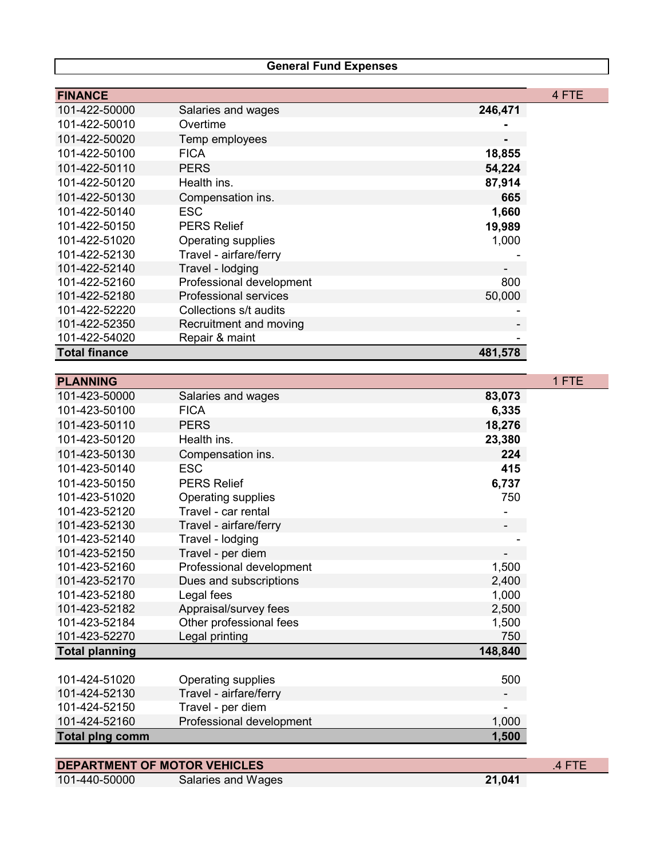### **General Fund Expenses**

| <b>FINANCE</b>       |                              |         | 4 FTE |
|----------------------|------------------------------|---------|-------|
| 101-422-50000        | Salaries and wages           | 246,471 |       |
| 101-422-50010        | Overtime                     |         |       |
| 101-422-50020        | Temp employees               |         |       |
| 101-422-50100        | <b>FICA</b>                  | 18,855  |       |
| 101-422-50110        | <b>PERS</b>                  | 54,224  |       |
| 101-422-50120        | Health ins.                  | 87,914  |       |
| 101-422-50130        | Compensation ins.            | 665     |       |
| 101-422-50140        | ESC.                         | 1,660   |       |
| 101-422-50150        | <b>PERS Relief</b>           | 19,989  |       |
| 101-422-51020        | Operating supplies           | 1,000   |       |
| 101-422-52130        | Travel - airfare/ferry       |         |       |
| 101-422-52140        | Travel - lodging             |         |       |
| 101-422-52160        | Professional development     | 800     |       |
| 101-422-52180        | <b>Professional services</b> | 50,000  |       |
| 101-422-52220        | Collections s/t audits       |         |       |
| 101-422-52350        | Recruitment and moving       |         |       |
| 101-422-54020        | Repair & maint               |         |       |
| <b>Total finance</b> |                              | 481,578 |       |

| <b>PLANNING</b>                     |                           |         | 1 FTE  |
|-------------------------------------|---------------------------|---------|--------|
| 101-423-50000                       | Salaries and wages        | 83,073  |        |
| 101-423-50100                       | <b>FICA</b>               | 6,335   |        |
| 101-423-50110                       | <b>PERS</b>               | 18,276  |        |
| 101-423-50120                       | Health ins.               | 23,380  |        |
| 101-423-50130                       | Compensation ins.         | 224     |        |
| 101-423-50140                       | <b>ESC</b>                | 415     |        |
| 101-423-50150                       | <b>PERS Relief</b>        | 6,737   |        |
| 101-423-51020                       | <b>Operating supplies</b> | 750     |        |
| 101-423-52120                       | Travel - car rental       |         |        |
| 101-423-52130                       | Travel - airfare/ferry    |         |        |
| 101-423-52140                       | Travel - lodging          |         |        |
| 101-423-52150                       | Travel - per diem         |         |        |
| 101-423-52160                       | Professional development  | 1,500   |        |
| 101-423-52170                       | Dues and subscriptions    | 2,400   |        |
| 101-423-52180                       | Legal fees                | 1,000   |        |
| 101-423-52182                       | Appraisal/survey fees     | 2,500   |        |
| 101-423-52184                       | Other professional fees   | 1,500   |        |
| 101-423-52270                       | Legal printing            | 750     |        |
| <b>Total planning</b>               |                           | 148,840 |        |
|                                     |                           |         |        |
| 101-424-51020                       | Operating supplies        | 500     |        |
| 101-424-52130                       | Travel - airfare/ferry    |         |        |
| 101-424-52150                       | Travel - per diem         |         |        |
| 101-424-52160                       | Professional development  | 1,000   |        |
| <b>Total plng comm</b>              |                           | 1,500   |        |
|                                     |                           |         |        |
| <b>DEPARTMENT OF MOTOR VEHICLES</b> |                           |         | .4 FTE |

| 101-440-50000 | Salaries and Wages | 21,041 |
|---------------|--------------------|--------|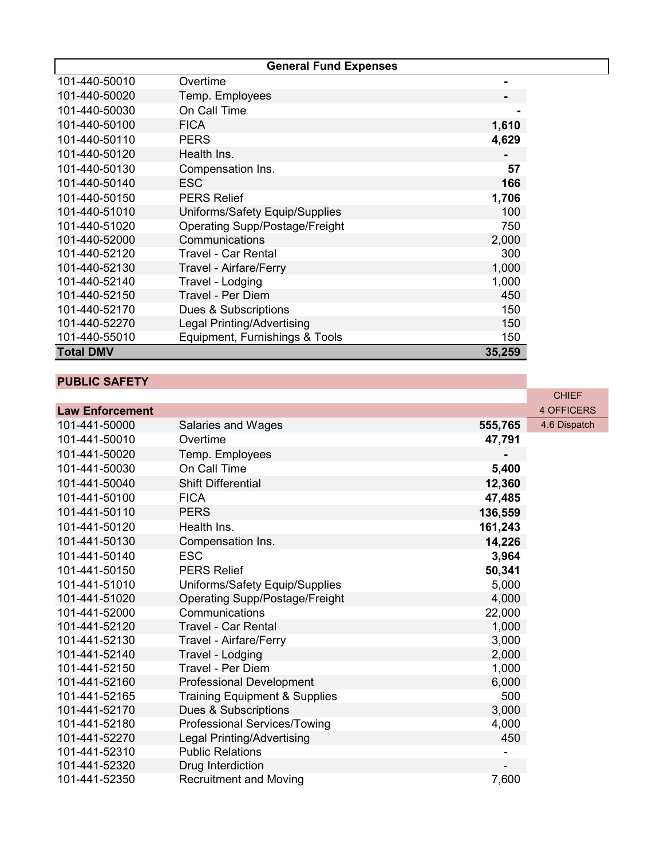|                  | <b>General Fund Expenses</b>          |        |
|------------------|---------------------------------------|--------|
| 101-440-50010    | Overtime                              |        |
| 101-440-50020    | Temp. Employees                       |        |
| 101-440-50030    | On Call Time                          |        |
| 101-440-50100    | <b>FICA</b>                           | 1,610  |
| 101-440-50110    | <b>PERS</b>                           | 4,629  |
| 101-440-50120    | Health Ins.                           |        |
| 101-440-50130    | Compensation Ins.                     | 57     |
| 101-440-50140    | <b>ESC</b>                            | 166    |
| 101-440-50150    | <b>PERS Relief</b>                    | 1,706  |
| 101-440-51010    | Uniforms/Safety Equip/Supplies        | 100    |
| 101-440-51020    | <b>Operating Supp/Postage/Freight</b> | 750    |
| 101-440-52000    | Communications                        | 2,000  |
| 101-440-52120    | <b>Travel - Car Rental</b>            | 300    |
| 101-440-52130    | Travel - Airfare/Ferry                | 1,000  |
| 101-440-52140    | Travel - Lodging                      | 1,000  |
| 101-440-52150    | <b>Travel - Per Diem</b>              | 450    |
| 101-440-52170    | Dues & Subscriptions                  | 150    |
| 101-440-52270    | Legal Printing/Advertising            | 150    |
| 101-440-55010    | Equipment, Furnishings & Tools        | 150    |
| <b>Total DMV</b> |                                       | 35,259 |

#### **PUBLIC SAFETY**

|                        |                                          |         | <b>CHIEF</b>      |
|------------------------|------------------------------------------|---------|-------------------|
| <b>Law Enforcement</b> |                                          |         | <b>4 OFFICERS</b> |
| 101-441-50000          | Salaries and Wages                       | 555,765 | 4.6 Dispatch      |
| 101-441-50010          | Overtime                                 | 47,791  |                   |
| 101-441-50020          | Temp. Employees                          |         |                   |
| 101-441-50030          | On Call Time                             | 5,400   |                   |
| 101-441-50040          | <b>Shift Differential</b>                | 12,360  |                   |
| 101-441-50100          | <b>FICA</b>                              | 47,485  |                   |
| 101-441-50110          | <b>PERS</b>                              | 136,559 |                   |
| 101-441-50120          | Health Ins.                              | 161,243 |                   |
| 101-441-50130          | Compensation Ins.                        | 14,226  |                   |
| 101-441-50140          | <b>ESC</b>                               | 3,964   |                   |
| 101-441-50150          | <b>PERS Relief</b>                       | 50,341  |                   |
| 101-441-51010          | Uniforms/Safety Equip/Supplies           | 5,000   |                   |
| 101-441-51020          | <b>Operating Supp/Postage/Freight</b>    | 4,000   |                   |
| 101-441-52000          | Communications                           | 22,000  |                   |
| 101-441-52120          | <b>Travel - Car Rental</b>               | 1,000   |                   |
| 101-441-52130          | Travel - Airfare/Ferry                   | 3,000   |                   |
| 101-441-52140          | Travel - Lodging                         | 2,000   |                   |
| 101-441-52150          | Travel - Per Diem                        | 1,000   |                   |
| 101-441-52160          | <b>Professional Development</b>          | 6,000   |                   |
| 101-441-52165          | <b>Training Equipment &amp; Supplies</b> | 500     |                   |
| 101-441-52170          | Dues & Subscriptions                     | 3,000   |                   |
| 101-441-52180          | Professional Services/Towing             | 4,000   |                   |
| 101-441-52270          | Legal Printing/Advertising               | 450     |                   |
| 101-441-52310          | <b>Public Relations</b>                  |         |                   |
| 101-441-52320          | Drug Interdiction                        |         |                   |
| 101-441-52350          | <b>Recruitment and Moving</b>            | 7,600   |                   |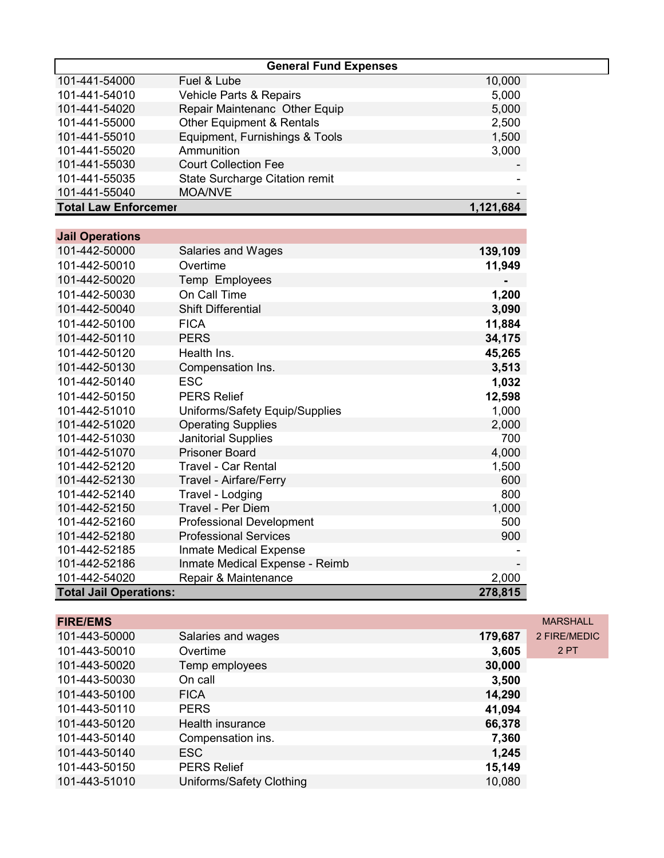|                             | <b>General Fund Expenses</b>          |                          |
|-----------------------------|---------------------------------------|--------------------------|
| 101-441-54000               | Fuel & Lube                           | 10,000                   |
| 101-441-54010               | Vehicle Parts & Repairs               | 5,000                    |
| 101-441-54020               | Repair Maintenanc Other Equip         | 5,000                    |
| 101-441-55000               | <b>Other Equipment &amp; Rentals</b>  | 2,500                    |
| 101-441-55010               | Equipment, Furnishings & Tools        | 1,500                    |
| 101-441-55020               | Ammunition                            | 3,000                    |
| 101-441-55030               | <b>Court Collection Fee</b>           | $\overline{\phantom{a}}$ |
| 101-441-55035               | <b>State Surcharge Citation remit</b> |                          |
| 101-441-55040               | <b>MOA/NVE</b>                        | -                        |
| <b>Total Law Enforcemer</b> |                                       | 1,121,684                |

| <b>Jail Operations</b>        |                                 |         |
|-------------------------------|---------------------------------|---------|
| 101-442-50000                 | <b>Salaries and Wages</b>       | 139,109 |
| 101-442-50010                 | Overtime                        | 11,949  |
| 101-442-50020                 | Temp Employees                  |         |
| 101-442-50030                 | On Call Time                    | 1,200   |
| 101-442-50040                 | <b>Shift Differential</b>       | 3,090   |
| 101-442-50100                 | <b>FICA</b>                     | 11,884  |
| 101-442-50110                 | <b>PERS</b>                     | 34,175  |
| 101-442-50120                 | Health Ins.                     | 45,265  |
| 101-442-50130                 | Compensation Ins.               | 3,513   |
| 101-442-50140                 | <b>ESC</b>                      | 1,032   |
| 101-442-50150                 | <b>PERS Relief</b>              | 12,598  |
| 101-442-51010                 | Uniforms/Safety Equip/Supplies  | 1,000   |
| 101-442-51020                 | <b>Operating Supplies</b>       | 2,000   |
| 101-442-51030                 | <b>Janitorial Supplies</b>      | 700     |
| 101-442-51070                 | <b>Prisoner Board</b>           | 4,000   |
| 101-442-52120                 | <b>Travel - Car Rental</b>      | 1,500   |
| 101-442-52130                 | Travel - Airfare/Ferry          | 600     |
| 101-442-52140                 | Travel - Lodging                | 800     |
| 101-442-52150                 | Travel - Per Diem               | 1,000   |
| 101-442-52160                 | <b>Professional Development</b> | 500     |
| 101-442-52180                 | <b>Professional Services</b>    | 900     |
| 101-442-52185                 | Inmate Medical Expense          |         |
| 101-442-52186                 | Inmate Medical Expense - Reimb  |         |
| 101-442-54020                 | Repair & Maintenance            | 2,000   |
| <b>Total Jail Operations:</b> |                                 | 278,815 |

| <b>FIRE/EMS</b> |                          |         | <b>MARSHALL</b> |
|-----------------|--------------------------|---------|-----------------|
| 101-443-50000   | Salaries and wages       | 179,687 | 2 FIRE/MEDIC    |
| 101-443-50010   | Overtime                 | 3,605   | 2PT             |
| 101-443-50020   | Temp employees           | 30,000  |                 |
| 101-443-50030   | On call                  | 3,500   |                 |
| 101-443-50100   | <b>FICA</b>              | 14,290  |                 |
| 101-443-50110   | <b>PERS</b>              | 41,094  |                 |
| 101-443-50120   | Health insurance         | 66,378  |                 |
| 101-443-50140   | Compensation ins.        | 7,360   |                 |
| 101-443-50140   | ESC                      | 1,245   |                 |
| 101-443-50150   | <b>PERS Relief</b>       | 15,149  |                 |
| 101-443-51010   | Uniforms/Safety Clothing | 10,080  |                 |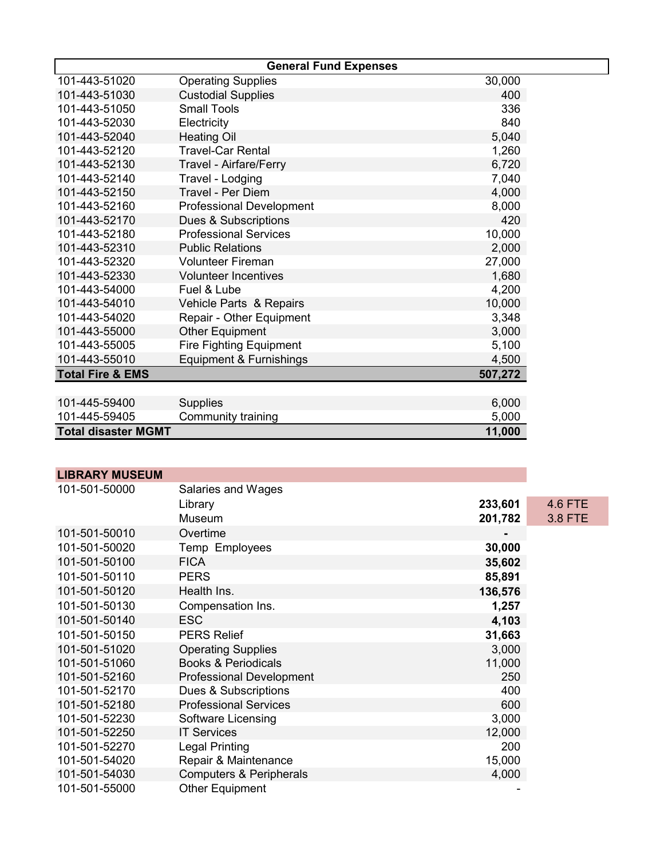| <b>General Fund Expenses</b> |                                 |         |  |  |
|------------------------------|---------------------------------|---------|--|--|
| 101-443-51020                | <b>Operating Supplies</b>       | 30,000  |  |  |
| 101-443-51030                | <b>Custodial Supplies</b>       | 400     |  |  |
| 101-443-51050                | <b>Small Tools</b>              | 336     |  |  |
| 101-443-52030                | Electricity                     | 840     |  |  |
| 101-443-52040                | <b>Heating Oil</b>              | 5,040   |  |  |
| 101-443-52120                | <b>Travel-Car Rental</b>        | 1,260   |  |  |
| 101-443-52130                | Travel - Airfare/Ferry          | 6,720   |  |  |
| 101-443-52140                | Travel - Lodging                | 7,040   |  |  |
| 101-443-52150                | <b>Travel - Per Diem</b>        | 4,000   |  |  |
| 101-443-52160                | <b>Professional Development</b> | 8,000   |  |  |
| 101-443-52170                | Dues & Subscriptions            | 420     |  |  |
| 101-443-52180                | <b>Professional Services</b>    | 10,000  |  |  |
| 101-443-52310                | <b>Public Relations</b>         | 2,000   |  |  |
| 101-443-52320                | <b>Volunteer Fireman</b>        | 27,000  |  |  |
| 101-443-52330                | <b>Volunteer Incentives</b>     | 1,680   |  |  |
| 101-443-54000                | Fuel & Lube                     | 4,200   |  |  |
| 101-443-54010                | Vehicle Parts & Repairs         | 10,000  |  |  |
| 101-443-54020                | Repair - Other Equipment        | 3,348   |  |  |
| 101-443-55000                | <b>Other Equipment</b>          | 3,000   |  |  |
| 101-443-55005                | <b>Fire Fighting Equipment</b>  | 5,100   |  |  |
| 101-443-55010                | Equipment & Furnishings         | 4,500   |  |  |
| <b>Total Fire &amp; EMS</b>  |                                 | 507,272 |  |  |
|                              |                                 |         |  |  |
| 101-445-59400                | <b>Supplies</b>                 | 6,000   |  |  |
| 101-445-59405                | Community training              | 5,000   |  |  |
| <b>Total disaster MGMT</b>   |                                 | 11,000  |  |  |

| <b>LIBRARY MUSEUM</b> |                                    |         |                |
|-----------------------|------------------------------------|---------|----------------|
| 101-501-50000         | Salaries and Wages                 |         |                |
|                       | Library                            | 233,601 | <b>4.6 FTE</b> |
|                       | Museum                             | 201,782 | 3.8 FTE        |
| 101-501-50010         | Overtime                           |         |                |
| 101-501-50020         | Temp Employees                     | 30,000  |                |
| 101-501-50100         | <b>FICA</b>                        | 35,602  |                |
| 101-501-50110         | <b>PERS</b>                        | 85,891  |                |
| 101-501-50120         | Health Ins.                        | 136,576 |                |
| 101-501-50130         | Compensation Ins.                  | 1,257   |                |
| 101-501-50140         | <b>ESC</b>                         | 4,103   |                |
| 101-501-50150         | <b>PERS Relief</b>                 | 31,663  |                |
| 101-501-51020         | <b>Operating Supplies</b>          | 3,000   |                |
| 101-501-51060         | <b>Books &amp; Periodicals</b>     | 11,000  |                |
| 101-501-52160         | <b>Professional Development</b>    | 250     |                |
| 101-501-52170         | Dues & Subscriptions               | 400     |                |
| 101-501-52180         | <b>Professional Services</b>       | 600     |                |
| 101-501-52230         | Software Licensing                 | 3,000   |                |
| 101-501-52250         | <b>IT Services</b>                 | 12,000  |                |
| 101-501-52270         | Legal Printing                     | 200     |                |
| 101-501-54020         | Repair & Maintenance               | 15,000  |                |
| 101-501-54030         | <b>Computers &amp; Peripherals</b> | 4,000   |                |
| 101-501-55000         | <b>Other Equipment</b>             |         |                |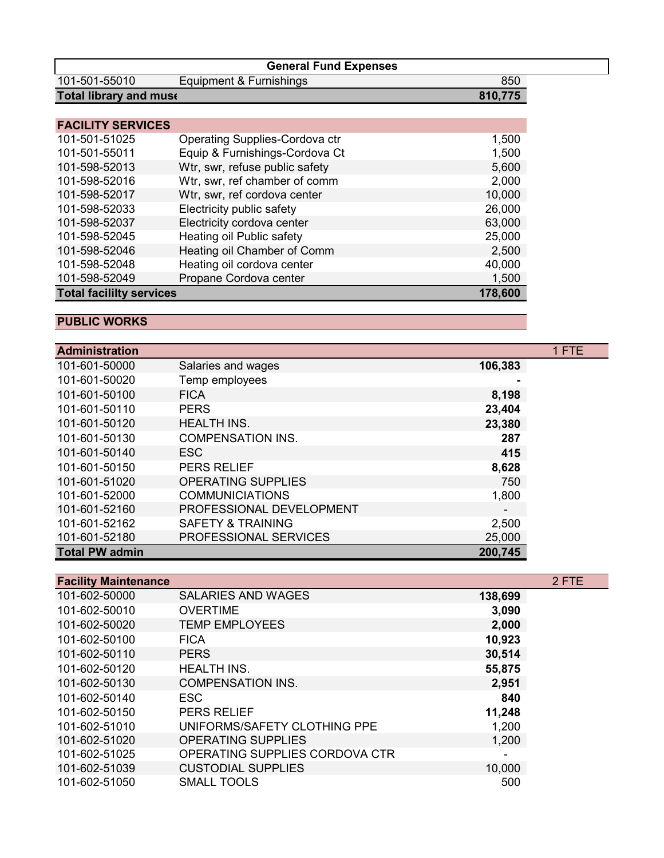|                                 | <b>General Fund Expenses</b>   |         |
|---------------------------------|--------------------------------|---------|
| 101-501-55010                   | Equipment & Furnishings        | 850     |
| <b>Total library and muse</b>   |                                | 810,775 |
|                                 |                                |         |
| <b>FACILITY SERVICES</b>        |                                |         |
| 101-501-51025                   | Operating Supplies-Cordova ctr | 1,500   |
| 101-501-55011                   | Equip & Furnishings-Cordova Ct | 1,500   |
| 101-598-52013                   | Wtr, swr, refuse public safety | 5,600   |
| 101-598-52016                   | Wtr, swr, ref chamber of comm  | 2,000   |
| 101-598-52017                   | Wtr, swr, ref cordova center   | 10,000  |
| 101-598-52033                   | Electricity public safety      | 26,000  |
| 101-598-52037                   | Electricity cordova center     | 63,000  |
| 101-598-52045                   | Heating oil Public safety      | 25,000  |
| 101-598-52046                   | Heating oil Chamber of Comm    | 2,500   |
| 101-598-52048                   | Heating oil cordova center     | 40,000  |
| 101-598-52049                   | Propane Cordova center         | 1,500   |
| <b>Total facililty services</b> |                                | 178,600 |

## **PUBLIC WORKS**

| <b>Administration</b> |                              |                          | 1 FTE |
|-----------------------|------------------------------|--------------------------|-------|
| 101-601-50000         | Salaries and wages           | 106,383                  |       |
| 101-601-50020         | Temp employees               |                          |       |
| 101-601-50100         | <b>FICA</b>                  | 8,198                    |       |
| 101-601-50110         | <b>PERS</b>                  | 23,404                   |       |
| 101-601-50120         | <b>HEALTH INS.</b>           | 23,380                   |       |
| 101-601-50130         | <b>COMPENSATION INS.</b>     | 287                      |       |
| 101-601-50140         | ESC                          | 415                      |       |
| 101-601-50150         | <b>PERS RELIEF</b>           | 8,628                    |       |
| 101-601-51020         | <b>OPERATING SUPPLIES</b>    | 750                      |       |
| 101-601-52000         | <b>COMMUNICIATIONS</b>       | 1,800                    |       |
| 101-601-52160         | PROFESSIONAL DEVELOPMENT     | $\overline{\phantom{a}}$ |       |
| 101-601-52162         | <b>SAFETY &amp; TRAINING</b> | 2,500                    |       |
| 101-601-52180         | <b>PROFESSIONAL SERVICES</b> | 25,000                   |       |
| <b>Total PW admin</b> |                              | 200,745                  |       |

| <b>Facility Maintenance</b> |                                |         | 2 FTE |
|-----------------------------|--------------------------------|---------|-------|
| 101-602-50000               | <b>SALARIES AND WAGES</b>      | 138,699 |       |
| 101-602-50010               | <b>OVERTIME</b>                | 3,090   |       |
| 101-602-50020               | <b>TEMP EMPLOYEES</b>          | 2,000   |       |
| 101-602-50100               | <b>FICA</b>                    | 10,923  |       |
| 101-602-50110               | <b>PERS</b>                    | 30,514  |       |
| 101-602-50120               | <b>HEALTH INS.</b>             | 55,875  |       |
| 101-602-50130               | <b>COMPENSATION INS.</b>       | 2,951   |       |
| 101-602-50140               | <b>ESC</b>                     | 840     |       |
| 101-602-50150               | <b>PERS RELIEF</b>             | 11,248  |       |
| 101-602-51010               | UNIFORMS/SAFETY CLOTHING PPE   | 1,200   |       |
| 101-602-51020               | <b>OPERATING SUPPLIES</b>      | 1,200   |       |
| 101-602-51025               | OPERATING SUPPLIES CORDOVA CTR |         |       |
| 101-602-51039               | <b>CUSTODIAL SUPPLIES</b>      | 10,000  |       |
| 101-602-51050               | <b>SMALL TOOLS</b>             | 500     |       |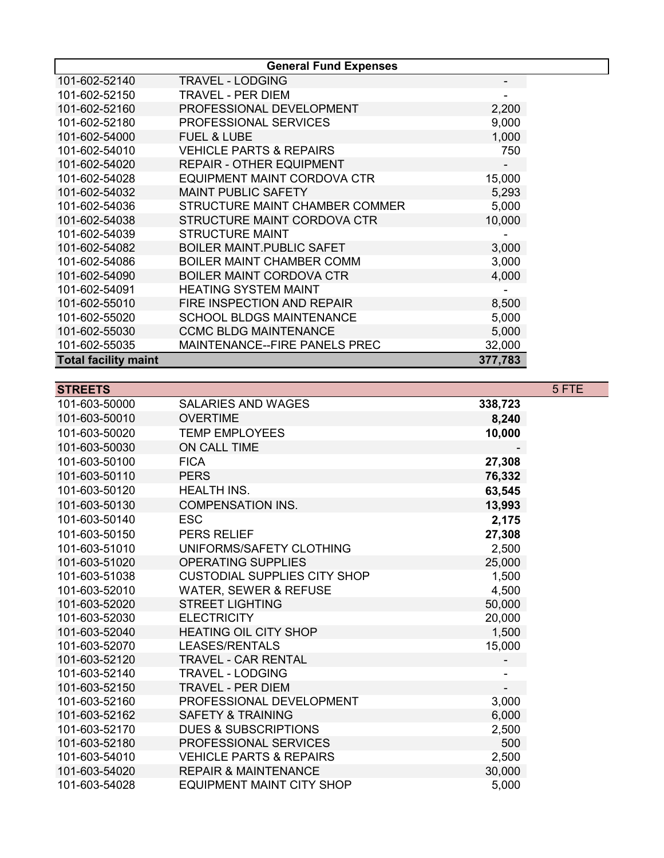|                             | <b>General Fund Expenses</b>         |         |
|-----------------------------|--------------------------------------|---------|
| 101-602-52140               | <b>TRAVEL - LODGING</b>              |         |
| 101-602-52150               | TRAVEL - PER DIEM                    |         |
| 101-602-52160               | PROFESSIONAL DEVELOPMENT             | 2,200   |
| 101-602-52180               | <b>PROFESSIONAL SERVICES</b>         | 9,000   |
| 101-602-54000               | <b>FUEL &amp; LUBE</b>               | 1,000   |
| 101-602-54010               | <b>VEHICLE PARTS &amp; REPAIRS</b>   | 750     |
| 101-602-54020               | <b>REPAIR - OTHER EQUIPMENT</b>      |         |
| 101-602-54028               | EQUIPMENT MAINT CORDOVA CTR          | 15,000  |
| 101-602-54032               | <b>MAINT PUBLIC SAFETY</b>           | 5,293   |
| 101-602-54036               | STRUCTURE MAINT CHAMBER COMMER       | 5,000   |
| 101-602-54038               | STRUCTURE MAINT CORDOVA CTR          | 10,000  |
| 101-602-54039               | <b>STRUCTURE MAINT</b>               |         |
| 101-602-54082               | <b>BOILER MAINT PUBLIC SAFET</b>     | 3,000   |
| 101-602-54086               | <b>BOILER MAINT CHAMBER COMM</b>     | 3,000   |
| 101-602-54090               | <b>BOILER MAINT CORDOVA CTR</b>      | 4,000   |
| 101-602-54091               | <b>HEATING SYSTEM MAINT</b>          |         |
| 101-602-55010               | FIRE INSPECTION AND REPAIR           | 8,500   |
| 101-602-55020               | <b>SCHOOL BLDGS MAINTENANCE</b>      | 5,000   |
| 101-602-55030               | <b>CCMC BLDG MAINTENANCE</b>         | 5,000   |
| 101-602-55035               | <b>MAINTENANCE--FIRE PANELS PREC</b> | 32,000  |
| <b>Total facility maint</b> |                                      | 377,783 |

| <b>STREETS</b> |                                     |         | 5 FTE |
|----------------|-------------------------------------|---------|-------|
| 101-603-50000  | <b>SALARIES AND WAGES</b>           | 338,723 |       |
| 101-603-50010  | <b>OVERTIME</b>                     | 8,240   |       |
| 101-603-50020  | <b>TEMP EMPLOYEES</b>               | 10,000  |       |
| 101-603-50030  | <b>ON CALL TIME</b>                 |         |       |
| 101-603-50100  | <b>FICA</b>                         | 27,308  |       |
| 101-603-50110  | <b>PERS</b>                         | 76,332  |       |
| 101-603-50120  | <b>HEALTH INS.</b>                  | 63,545  |       |
| 101-603-50130  | <b>COMPENSATION INS.</b>            | 13,993  |       |
| 101-603-50140  | <b>ESC</b>                          | 2,175   |       |
| 101-603-50150  | <b>PERS RELIEF</b>                  | 27,308  |       |
| 101-603-51010  | UNIFORMS/SAFETY CLOTHING            | 2,500   |       |
| 101-603-51020  | <b>OPERATING SUPPLIES</b>           | 25,000  |       |
| 101-603-51038  | <b>CUSTODIAL SUPPLIES CITY SHOP</b> | 1,500   |       |
| 101-603-52010  | <b>WATER, SEWER &amp; REFUSE</b>    | 4,500   |       |
| 101-603-52020  | <b>STREET LIGHTING</b>              | 50,000  |       |
| 101-603-52030  | <b>ELECTRICITY</b>                  | 20,000  |       |
| 101-603-52040  | <b>HEATING OIL CITY SHOP</b>        | 1,500   |       |
| 101-603-52070  | <b>LEASES/RENTALS</b>               | 15,000  |       |
| 101-603-52120  | <b>TRAVEL - CAR RENTAL</b>          |         |       |
| 101-603-52140  | <b>TRAVEL - LODGING</b>             |         |       |
| 101-603-52150  | <b>TRAVEL - PER DIEM</b>            |         |       |
| 101-603-52160  | PROFESSIONAL DEVELOPMENT            | 3,000   |       |
| 101-603-52162  | <b>SAFETY &amp; TRAINING</b>        | 6,000   |       |
| 101-603-52170  | <b>DUES &amp; SUBSCRIPTIONS</b>     | 2,500   |       |
| 101-603-52180  | <b>PROFESSIONAL SERVICES</b>        | 500     |       |
| 101-603-54010  | <b>VEHICLE PARTS &amp; REPAIRS</b>  | 2,500   |       |
| 101-603-54020  | <b>REPAIR &amp; MAINTENANCE</b>     | 30,000  |       |
| 101-603-54028  | <b>EQUIPMENT MAINT CITY SHOP</b>    | 5,000   |       |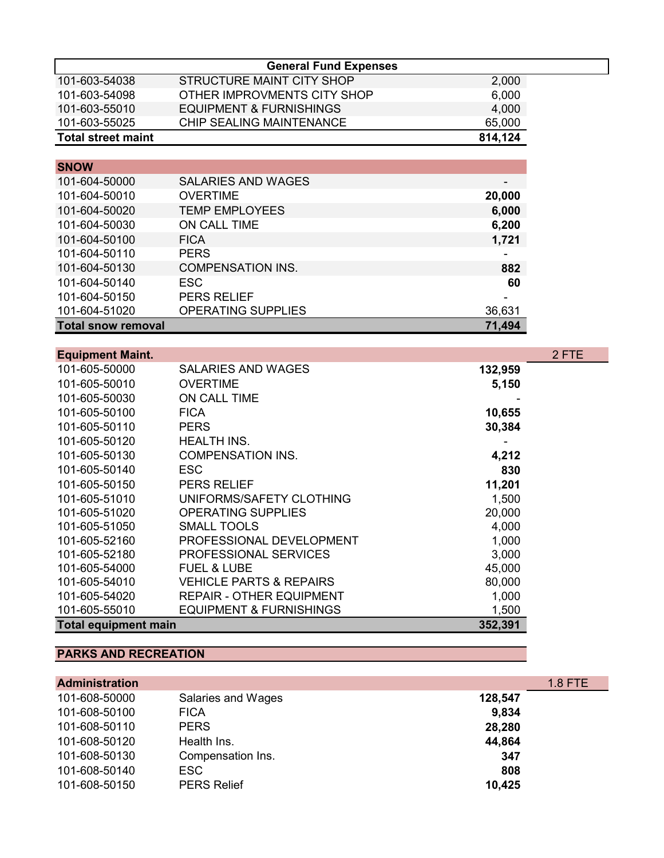|                           | <b>General Fund Expenses</b> |         |
|---------------------------|------------------------------|---------|
| 101-603-54038             | STRUCTURE MAINT CITY SHOP    | 2,000   |
| 101-603-54098             | OTHER IMPROVMENTS CITY SHOP  | 6,000   |
| 101-603-55010             | EQUIPMENT & FURNISHINGS      | 4,000   |
| 101-603-55025             | CHIP SEALING MAINTENANCE     | 65,000  |
| <b>Total street maint</b> |                              | 814,124 |

| <b>SNOW</b>               |                           |        |
|---------------------------|---------------------------|--------|
| 101-604-50000             | <b>SALARIES AND WAGES</b> |        |
| 101-604-50010             | <b>OVERTIME</b>           | 20,000 |
| 101-604-50020             | <b>TEMP EMPLOYEES</b>     | 6,000  |
| 101-604-50030             | ON CALL TIME              | 6,200  |
| 101-604-50100             | <b>FICA</b>               | 1,721  |
| 101-604-50110             | <b>PERS</b>               |        |
| 101-604-50130             | <b>COMPENSATION INS.</b>  | 882    |
| 101-604-50140             | <b>ESC</b>                | 60     |
| 101-604-50150             | <b>PERS RELIEF</b>        |        |
| 101-604-51020             | <b>OPERATING SUPPLIES</b> | 36,631 |
| <b>Total snow removal</b> |                           | 71,494 |

| <b>Equipment Maint.</b>     |                                    |         | 2 FTE |
|-----------------------------|------------------------------------|---------|-------|
| 101-605-50000               | <b>SALARIES AND WAGES</b>          | 132,959 |       |
| 101-605-50010               | <b>OVERTIME</b>                    | 5,150   |       |
| 101-605-50030               | ON CALL TIME                       |         |       |
| 101-605-50100               | <b>FICA</b>                        | 10,655  |       |
| 101-605-50110               | <b>PERS</b>                        | 30,384  |       |
| 101-605-50120               | <b>HEALTH INS.</b>                 |         |       |
| 101-605-50130               | <b>COMPENSATION INS.</b>           | 4,212   |       |
| 101-605-50140               | ESC.                               | 830     |       |
| 101-605-50150               | <b>PERS RELIEF</b>                 | 11,201  |       |
| 101-605-51010               | UNIFORMS/SAFETY CLOTHING           | 1,500   |       |
| 101-605-51020               | <b>OPERATING SUPPLIES</b>          | 20,000  |       |
| 101-605-51050               | <b>SMALL TOOLS</b>                 | 4,000   |       |
| 101-605-52160               | PROFESSIONAL DEVELOPMENT           | 1,000   |       |
| 101-605-52180               | <b>PROFESSIONAL SERVICES</b>       | 3,000   |       |
| 101-605-54000               | <b>FUEL &amp; LUBE</b>             | 45,000  |       |
| 101-605-54010               | <b>VEHICLE PARTS &amp; REPAIRS</b> | 80,000  |       |
| 101-605-54020               | <b>REPAIR - OTHER EQUIPMENT</b>    | 1,000   |       |
| 101-605-55010               | <b>EQUIPMENT &amp; FURNISHINGS</b> | 1,500   |       |
| <b>Total equipment main</b> |                                    | 352,391 |       |

# **PARKS AND RECREATION**

| <b>Administration</b> |                    |         | $1.8$ FTE |
|-----------------------|--------------------|---------|-----------|
| 101-608-50000         | Salaries and Wages | 128,547 |           |
| 101-608-50100         | <b>FICA</b>        | 9,834   |           |
| 101-608-50110         | <b>PERS</b>        | 28,280  |           |
| 101-608-50120         | Health Ins.        | 44,864  |           |
| 101-608-50130         | Compensation Ins.  | 347     |           |
| 101-608-50140         | ESC.               | 808     |           |
| 101-608-50150         | <b>PERS Relief</b> | 10,425  |           |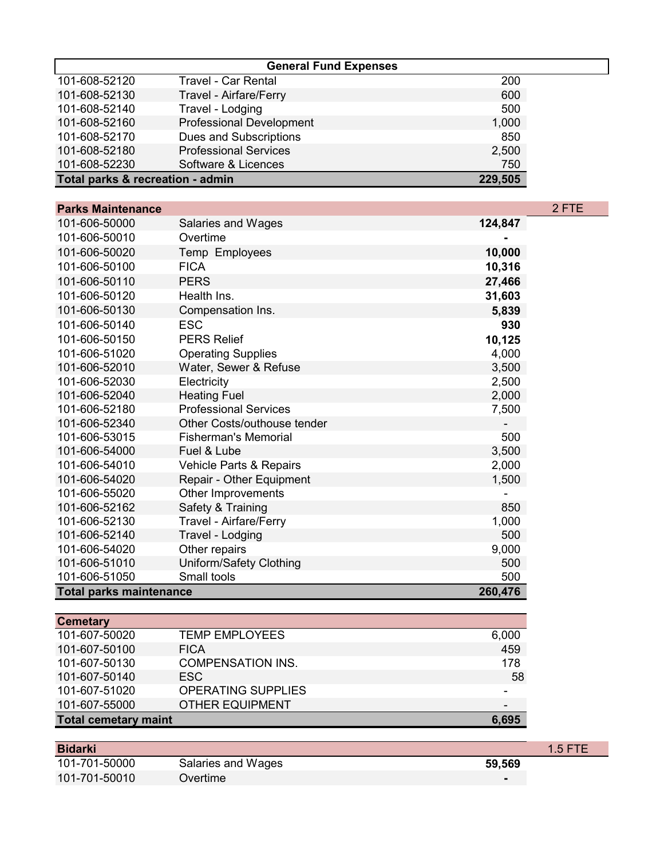| <b>General Fund Expenses</b>                |                                 |       |  |
|---------------------------------------------|---------------------------------|-------|--|
| 101-608-52120                               | <b>Travel - Car Rental</b>      | 200   |  |
| 101-608-52130                               | Travel - Airfare/Ferry          | 600   |  |
| 101-608-52140                               | Travel - Lodging                | 500   |  |
| 101-608-52160                               | <b>Professional Development</b> | 1,000 |  |
| 101-608-52170                               | Dues and Subscriptions          | 850   |  |
| 101-608-52180                               | <b>Professional Services</b>    | 2,500 |  |
| 101-608-52230                               | Software & Licences             | 750   |  |
| Total parks & recreation - admin<br>229,505 |                                 |       |  |

| <b>Parks Maintenance</b>       |                              |         | 2 FTE |
|--------------------------------|------------------------------|---------|-------|
| 101-606-50000                  | Salaries and Wages           | 124,847 |       |
| 101-606-50010                  | Overtime                     |         |       |
| 101-606-50020                  | Temp Employees               | 10,000  |       |
| 101-606-50100                  | <b>FICA</b>                  | 10,316  |       |
| 101-606-50110                  | <b>PERS</b>                  | 27,466  |       |
| 101-606-50120                  | Health Ins.                  | 31,603  |       |
| 101-606-50130                  | Compensation Ins.            | 5,839   |       |
| 101-606-50140                  | <b>ESC</b>                   | 930     |       |
| 101-606-50150                  | <b>PERS Relief</b>           | 10,125  |       |
| 101-606-51020                  | <b>Operating Supplies</b>    | 4,000   |       |
| 101-606-52010                  | Water, Sewer & Refuse        | 3,500   |       |
| 101-606-52030                  | Electricity                  | 2,500   |       |
| 101-606-52040                  | <b>Heating Fuel</b>          | 2,000   |       |
| 101-606-52180                  | <b>Professional Services</b> | 7,500   |       |
| 101-606-52340                  | Other Costs/outhouse tender  |         |       |
| 101-606-53015                  | <b>Fisherman's Memorial</b>  | 500     |       |
| 101-606-54000                  | Fuel & Lube                  | 3,500   |       |
| 101-606-54010                  | Vehicle Parts & Repairs      | 2,000   |       |
| 101-606-54020                  | Repair - Other Equipment     | 1,500   |       |
| 101-606-55020                  | Other Improvements           |         |       |
| 101-606-52162                  | Safety & Training            | 850     |       |
| 101-606-52130                  | Travel - Airfare/Ferry       | 1,000   |       |
| 101-606-52140                  | Travel - Lodging             | 500     |       |
| 101-606-54020                  | Other repairs                | 9,000   |       |
| 101-606-51010                  | Uniform/Safety Clothing      | 500     |       |
| 101-606-51050                  | Small tools                  | 500     |       |
| <b>Total parks maintenance</b> |                              | 260,476 |       |

| <b>TEMP EMPLOYEES</b>       | 6,000 |
|-----------------------------|-------|
| <b>FICA</b>                 | 459   |
| <b>COMPENSATION INS.</b>    | 178   |
| ESC.                        | 58    |
| <b>OPERATING SUPPLIES</b>   | $\,$  |
| <b>OTHER EQUIPMENT</b>      |       |
|                             | 6.695 |
| <b>Total cemetary maint</b> |       |

| <b>Bidarki</b> |                    |        | $1.5$ FTE |
|----------------|--------------------|--------|-----------|
| 101-701-50000  | Salaries and Wages | 59,569 |           |
| 101-701-50010  | Overtime           |        |           |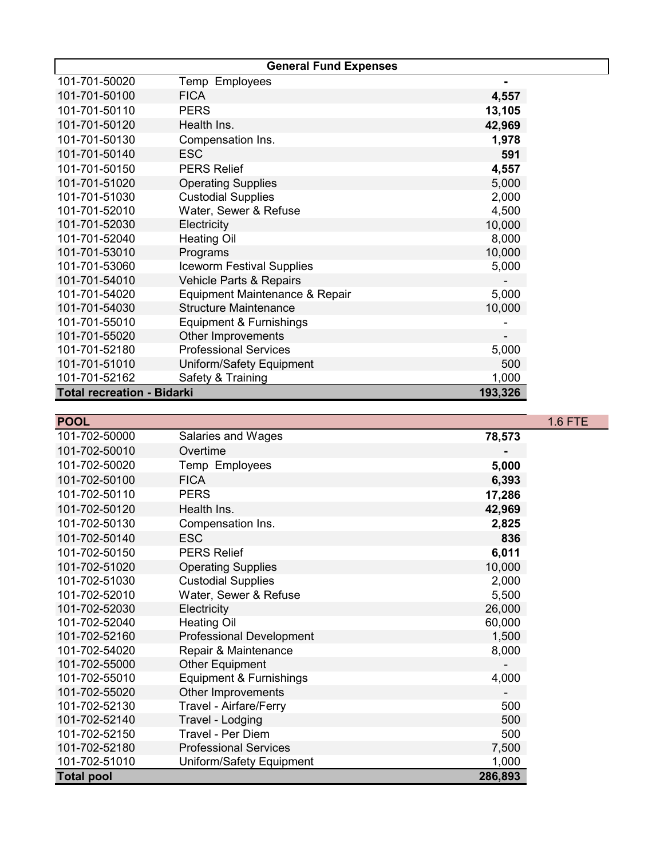|                                   | <b>General Fund Expenses</b>     |         |  |
|-----------------------------------|----------------------------------|---------|--|
| 101-701-50020                     | Temp Employees                   | ۰       |  |
| 101-701-50100                     | <b>FICA</b>                      | 4,557   |  |
| 101-701-50110                     | <b>PERS</b>                      | 13,105  |  |
| 101-701-50120                     | Health Ins.                      | 42,969  |  |
| 101-701-50130                     | Compensation Ins.                | 1,978   |  |
| 101-701-50140                     | <b>ESC</b>                       | 591     |  |
| 101-701-50150                     | <b>PERS Relief</b>               | 4,557   |  |
| 101-701-51020                     | <b>Operating Supplies</b>        | 5,000   |  |
| 101-701-51030                     | <b>Custodial Supplies</b>        | 2,000   |  |
| 101-701-52010                     | Water, Sewer & Refuse            | 4,500   |  |
| 101-701-52030                     | Electricity                      | 10,000  |  |
| 101-701-52040                     | <b>Heating Oil</b>               | 8,000   |  |
| 101-701-53010                     | Programs                         | 10,000  |  |
| 101-701-53060                     | <b>Iceworm Festival Supplies</b> | 5,000   |  |
| 101-701-54010                     | Vehicle Parts & Repairs          |         |  |
| 101-701-54020                     | Equipment Maintenance & Repair   | 5,000   |  |
| 101-701-54030                     | <b>Structure Maintenance</b>     | 10,000  |  |
| 101-701-55010                     | Equipment & Furnishings          |         |  |
| 101-701-55020                     | Other Improvements               |         |  |
| 101-701-52180                     | <b>Professional Services</b>     | 5,000   |  |
| 101-701-51010                     | Uniform/Safety Equipment         | 500     |  |
| 101-701-52162                     | Safety & Training                | 1,000   |  |
| <b>Total recreation - Bidarki</b> |                                  | 193,326 |  |

| <b>POOL</b>       |                                 |         | <b>1.6 FTE</b> |
|-------------------|---------------------------------|---------|----------------|
| 101-702-50000     | Salaries and Wages              | 78,573  |                |
| 101-702-50010     | Overtime                        |         |                |
| 101-702-50020     | Temp Employees                  | 5,000   |                |
| 101-702-50100     | <b>FICA</b>                     | 6,393   |                |
| 101-702-50110     | <b>PERS</b>                     | 17,286  |                |
| 101-702-50120     | Health Ins.                     | 42,969  |                |
| 101-702-50130     | Compensation Ins.               | 2,825   |                |
| 101-702-50140     | <b>ESC</b>                      | 836     |                |
| 101-702-50150     | <b>PERS Relief</b>              | 6,011   |                |
| 101-702-51020     | <b>Operating Supplies</b>       | 10,000  |                |
| 101-702-51030     | <b>Custodial Supplies</b>       | 2,000   |                |
| 101-702-52010     | Water, Sewer & Refuse           | 5,500   |                |
| 101-702-52030     | Electricity                     | 26,000  |                |
| 101-702-52040     | <b>Heating Oil</b>              | 60,000  |                |
| 101-702-52160     | <b>Professional Development</b> | 1,500   |                |
| 101-702-54020     | Repair & Maintenance            | 8,000   |                |
| 101-702-55000     | <b>Other Equipment</b>          |         |                |
| 101-702-55010     | Equipment & Furnishings         | 4,000   |                |
| 101-702-55020     | Other Improvements              |         |                |
| 101-702-52130     | <b>Travel - Airfare/Ferry</b>   | 500     |                |
| 101-702-52140     | Travel - Lodging                | 500     |                |
| 101-702-52150     | Travel - Per Diem               | 500     |                |
| 101-702-52180     | <b>Professional Services</b>    | 7,500   |                |
| 101-702-51010     | Uniform/Safety Equipment        | 1,000   |                |
| <b>Total pool</b> |                                 | 286,893 |                |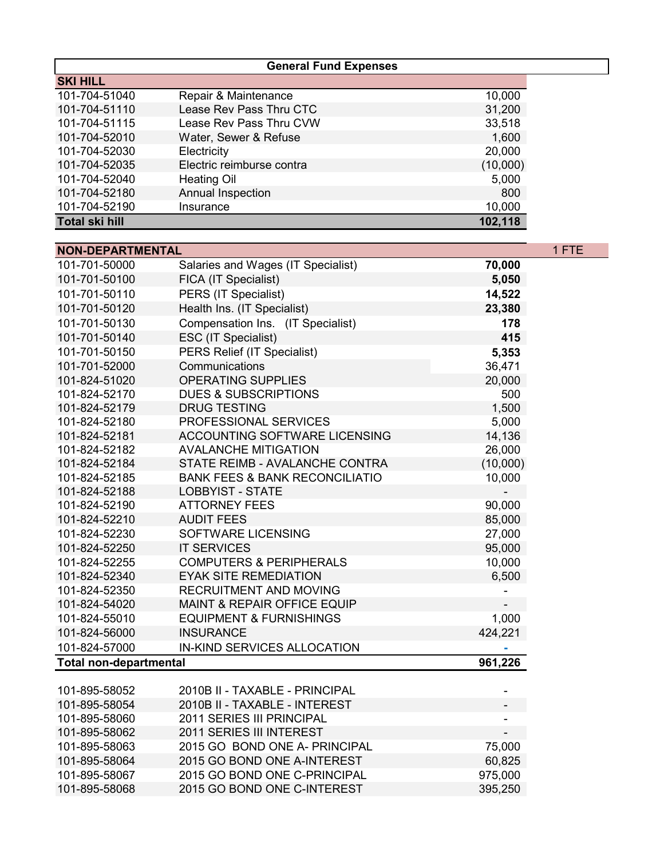| <b>General Fund Expenses</b>  |                                           |          |       |
|-------------------------------|-------------------------------------------|----------|-------|
| <b>SKI HILL</b>               |                                           |          |       |
| 101-704-51040                 | Repair & Maintenance                      | 10,000   |       |
| 101-704-51110                 | Lease Rev Pass Thru CTC                   | 31,200   |       |
| 101-704-51115                 | Lease Rev Pass Thru CVW                   | 33,518   |       |
| 101-704-52010                 | Water, Sewer & Refuse                     | 1,600    |       |
| 101-704-52030                 | Electricity                               | 20,000   |       |
| 101-704-52035                 | Electric reimburse contra                 | (10,000) |       |
| 101-704-52040                 | <b>Heating Oil</b>                        | 5,000    |       |
| 101-704-52180                 | Annual Inspection                         | 800      |       |
| 101-704-52190                 | Insurance                                 | 10,000   |       |
| <b>Total ski hill</b>         |                                           | 102,118  |       |
|                               |                                           |          |       |
| <b>NON-DEPARTMENTAL</b>       |                                           |          | 1 FTE |
| 101-701-50000                 | Salaries and Wages (IT Specialist)        | 70,000   |       |
| 101-701-50100                 | FICA (IT Specialist)                      | 5,050    |       |
| 101-701-50110                 | PERS (IT Specialist)                      | 14,522   |       |
| 101-701-50120                 | Health Ins. (IT Specialist)               | 23,380   |       |
| 101-701-50130                 | Compensation Ins. (IT Specialist)         | 178      |       |
| 101-701-50140                 | ESC (IT Specialist)                       | 415      |       |
| 101-701-50150                 | PERS Relief (IT Specialist)               | 5,353    |       |
| 101-701-52000                 | Communications                            | 36,471   |       |
| 101-824-51020                 | <b>OPERATING SUPPLIES</b>                 | 20,000   |       |
| 101-824-52170                 | <b>DUES &amp; SUBSCRIPTIONS</b>           | 500      |       |
| 101-824-52179                 | <b>DRUG TESTING</b>                       | 1,500    |       |
| 101-824-52180                 | PROFESSIONAL SERVICES                     | 5,000    |       |
| 101-824-52181                 | ACCOUNTING SOFTWARE LICENSING             | 14,136   |       |
| 101-824-52182                 | <b>AVALANCHE MITIGATION</b>               | 26,000   |       |
| 101-824-52184                 | STATE REIMB - AVALANCHE CONTRA            | (10,000) |       |
| 101-824-52185                 | <b>BANK FEES &amp; BANK RECONCILIATIO</b> | 10,000   |       |
| 101-824-52188                 | <b>LOBBYIST - STATE</b>                   |          |       |
| 101-824-52190                 | <b>ATTORNEY FEES</b>                      | 90,000   |       |
| 101-824-52210                 | <b>AUDIT FEES</b>                         | 85,000   |       |
| 101-824-52230                 | <b>SOFTWARE LICENSING</b>                 | 27,000   |       |
| 101-824-52250                 | <b>IT SERVICES</b>                        | 95,000   |       |
| 101-824-52255                 | <b>COMPUTERS &amp; PERIPHERALS</b>        | 10,000   |       |
| 101-824-52340                 | <b>EYAK SITE REMEDIATION</b>              | 6,500    |       |
| 101-824-52350                 | RECRUITMENT AND MOVING                    |          |       |
| 101-824-54020                 | <b>MAINT &amp; REPAIR OFFICE EQUIP</b>    |          |       |
| 101-824-55010                 | <b>EQUIPMENT &amp; FURNISHINGS</b>        | 1,000    |       |
| 101-824-56000                 | <b>INSURANCE</b>                          | 424,221  |       |
| 101-824-57000                 | IN-KIND SERVICES ALLOCATION               |          |       |
| <b>Total non-departmental</b> |                                           | 961,226  |       |
|                               |                                           |          |       |
| 101-895-58052                 | 2010B II - TAXABLE - PRINCIPAL            |          |       |
| 101-895-58054                 | 2010B II - TAXABLE - INTEREST             |          |       |
| 101-895-58060                 | 2011 SERIES III PRINCIPAL                 |          |       |
| 101-895-58062                 | 2011 SERIES III INTEREST                  |          |       |
| 101-895-58063                 | 2015 GO BOND ONE A- PRINCIPAL             | 75,000   |       |
| 101-895-58064                 | 2015 GO BOND ONE A-INTEREST               | 60,825   |       |
| 101-895-58067                 | 2015 GO BOND ONE C-PRINCIPAL              | 975,000  |       |
| 101-895-58068                 | 2015 GO BOND ONE C-INTEREST               | 395,250  |       |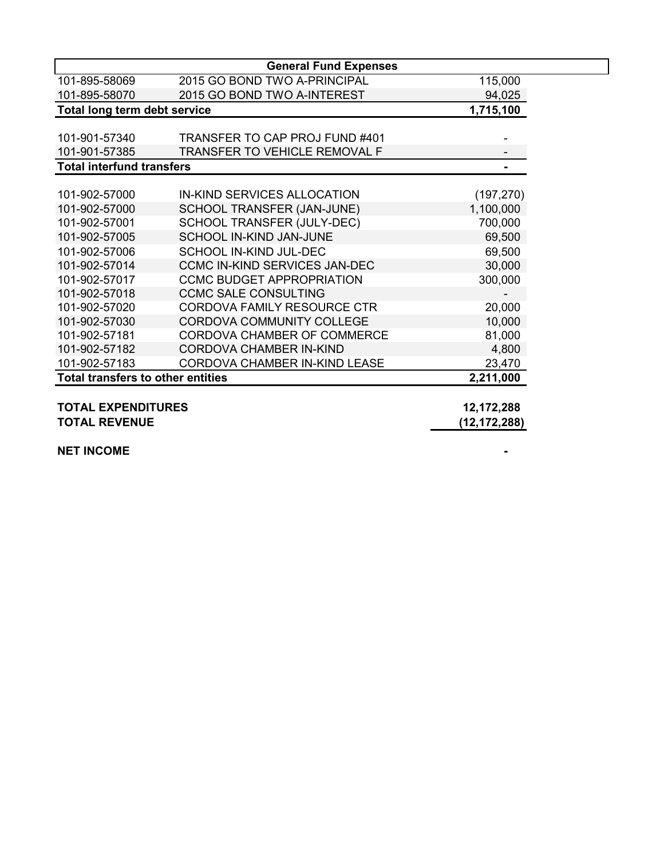|                                          | <b>General Fund Expenses</b>         |              |
|------------------------------------------|--------------------------------------|--------------|
| 101-895-58069                            | 2015 GO BOND TWO A-PRINCIPAL         | 115,000      |
| 101-895-58070                            | 2015 GO BOND TWO A-INTEREST          | 94,025       |
| Total long term debt service             |                                      | 1,715,100    |
|                                          |                                      |              |
| 101-901-57340                            | TRANSFER TO CAP PROJ FUND #401       |              |
| 101-901-57385                            | <b>TRANSFER TO VEHICLE REMOVAL F</b> |              |
| <b>Total interfund transfers</b>         |                                      |              |
|                                          |                                      |              |
| 101-902-57000                            | IN-KIND SERVICES ALLOCATION          | (197, 270)   |
| 101-902-57000                            | SCHOOL TRANSFER (JAN-JUNE)           | 1,100,000    |
| 101-902-57001                            | SCHOOL TRANSFER (JULY-DEC)           | 700,000      |
| 101-902-57005                            | SCHOOL IN-KIND JAN-JUNE              | 69,500       |
| 101-902-57006                            | <b>SCHOOL IN-KIND JUL-DEC</b>        | 69,500       |
| 101-902-57014                            | <b>CCMC IN-KIND SERVICES JAN-DEC</b> | 30,000       |
| 101-902-57017                            | <b>CCMC BUDGET APPROPRIATION</b>     | 300,000      |
| 101-902-57018                            | <b>CCMC SALE CONSULTING</b>          |              |
| 101-902-57020                            | <b>CORDOVA FAMILY RESOURCE CTR</b>   | 20,000       |
| 101-902-57030                            | CORDOVA COMMUNITY COLLEGE            | 10,000       |
| 101-902-57181                            | CORDOVA CHAMBER OF COMMERCE          | 81,000       |
| 101-902-57182                            | CORDOVA CHAMBER IN-KIND              | 4,800        |
| 101-902-57183                            | <b>CORDOVA CHAMBER IN-KIND LEASE</b> | 23,470       |
| <b>Total transfers to other entities</b> |                                      | 2,211,000    |
|                                          |                                      |              |
| <b>TOTAL EXPENDITURES</b>                |                                      | 12,172,288   |
| <b>TOTAL REVENUE</b>                     |                                      | (12,172,288) |

**NET INCOME** *ALCOME*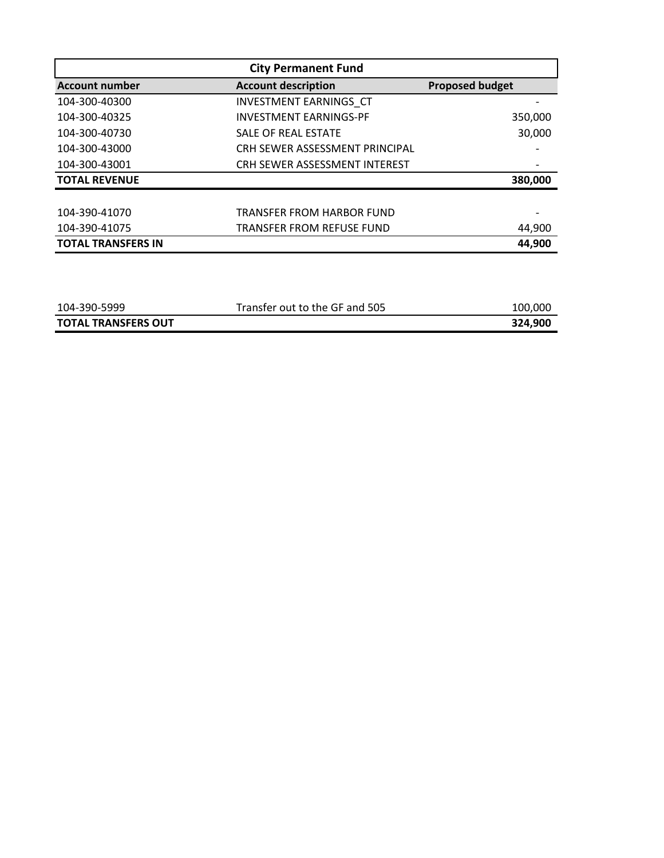| <b>City Permanent Fund</b> |                                      |                        |  |
|----------------------------|--------------------------------------|------------------------|--|
| <b>Account number</b>      | <b>Account description</b>           | <b>Proposed budget</b> |  |
| 104-300-40300              | <b>INVESTMENT EARNINGS CT</b>        |                        |  |
| 104-300-40325              | <b>INVESTMENT EARNINGS-PF</b>        | 350,000                |  |
| 104-300-40730              | SALE OF REAL ESTATE                  | 30,000                 |  |
| 104-300-43000              | CRH SEWER ASSESSMENT PRINCIPAL       |                        |  |
| 104-300-43001              | <b>CRH SEWER ASSESSMENT INTEREST</b> |                        |  |
| <b>TOTAL REVENUE</b>       |                                      | 380,000                |  |
|                            |                                      |                        |  |
| 104-390-41070              | TRANSFER FROM HARBOR FUND            |                        |  |
| 104-390-41075              | <b>TRANSFER FROM REFUSE FUND</b>     | 44,900                 |  |
| <b>TOTAL TRANSFERS IN</b>  |                                      | 44,900                 |  |

| 104-390-5999               | Transfer out to the GF and 505 | 100.000 |
|----------------------------|--------------------------------|---------|
| <b>TOTAL TRANSFERS OUT</b> |                                | 324,900 |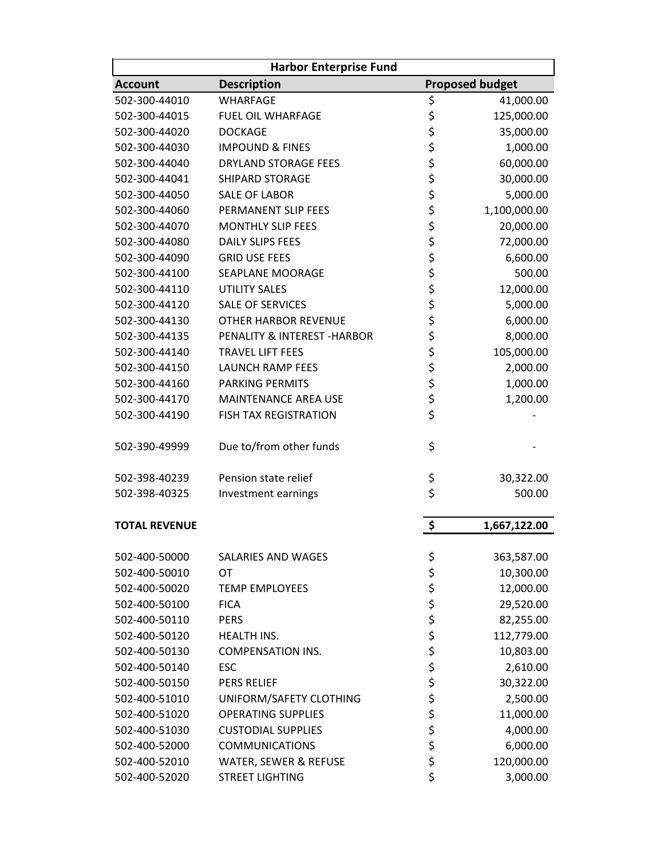| <b>Harbor Enterprise Fund</b> |                              |          |                        |
|-------------------------------|------------------------------|----------|------------------------|
| <b>Account</b>                | <b>Description</b>           |          | <b>Proposed budget</b> |
| 502-300-44010                 | <b>WHARFAGE</b>              | \$       | 41,000.00              |
| 502-300-44015                 | <b>FUEL OIL WHARFAGE</b>     | \$       | 125,000.00             |
| 502-300-44020                 | <b>DOCKAGE</b>               | \$<br>\$ | 35,000.00              |
| 502-300-44030                 | <b>IMPOUND &amp; FINES</b>   |          | 1,000.00               |
| 502-300-44040                 | <b>DRYLAND STORAGE FEES</b>  | \$       | 60,000.00              |
| 502-300-44041                 | <b>SHIPARD STORAGE</b>       | \$       | 30,000.00              |
| 502-300-44050                 | <b>SALE OF LABOR</b>         | \$       | 5,000.00               |
| 502-300-44060                 | PERMANENT SLIP FEES          | \$       | 1,100,000.00           |
| 502-300-44070                 | <b>MONTHLY SLIP FEES</b>     | \$       | 20,000.00              |
| 502-300-44080                 | <b>DAILY SLIPS FEES</b>      | \$       | 72,000.00              |
| 502-300-44090                 | <b>GRID USE FEES</b>         | \$       | 6,600.00               |
| 502-300-44100                 | SEAPLANE MOORAGE             | \$       | 500.00                 |
| 502-300-44110                 | <b>UTILITY SALES</b>         | \$       | 12,000.00              |
| 502-300-44120                 | <b>SALE OF SERVICES</b>      | \$       | 5,000.00               |
| 502-300-44130                 | <b>OTHER HARBOR REVENUE</b>  | \$       | 6,000.00               |
| 502-300-44135                 | PENALITY & INTEREST - HARBOR | \$       | 8,000.00               |
| 502-300-44140                 | <b>TRAVEL LIFT FEES</b>      | \$       | 105,000.00             |
| 502-300-44150                 | <b>LAUNCH RAMP FEES</b>      |          | 2,000.00               |
| 502-300-44160                 | <b>PARKING PERMITS</b>       | \$<br>\$ | 1,000.00               |
| 502-300-44170                 | <b>MAINTENANCE AREA USE</b>  | \$       | 1,200.00               |
| 502-300-44190                 | <b>FISH TAX REGISTRATION</b> | \$       |                        |
| 502-390-49999                 | Due to/from other funds      | \$       |                        |
| 502-398-40239                 | Pension state relief         | \$       | 30,322.00              |
| 502-398-40325                 | Investment earnings          | \$       | 500.00                 |
| <b>TOTAL REVENUE</b>          |                              | \$       | 1,667,122.00           |
| 502-400-50000                 | SALARIES AND WAGES           | \$       | 363,587.00             |
| 502-400-50010                 | <b>OT</b>                    | \$       | 10,300.00              |
| 502-400-50020                 | <b>TEMP EMPLOYEES</b>        | \$       | 12,000.00              |
| 502-400-50100                 | <b>FICA</b>                  | \$\$\$   | 29,520.00              |
| 502-400-50110                 | <b>PERS</b>                  |          | 82,255.00              |
| 502-400-50120                 | <b>HEALTH INS.</b>           |          | 112,779.00             |
| 502-400-50130                 | <b>COMPENSATION INS.</b>     |          | 10,803.00              |
| 502-400-50140                 | <b>ESC</b>                   | ぐくさん     | 2,610.00               |
| 502-400-50150                 | PERS RELIEF                  |          | 30,322.00              |
| 502-400-51010                 | UNIFORM/SAFETY CLOTHING      |          | 2,500.00               |
| 502-400-51020                 | <b>OPERATING SUPPLIES</b>    |          | 11,000.00              |
| 502-400-51030                 | <b>CUSTODIAL SUPPLIES</b>    | \$\$\$   | 4,000.00               |
| 502-400-52000                 | <b>COMMUNICATIONS</b>        |          | 6,000.00               |
| 502-400-52010                 | WATER, SEWER & REFUSE        |          | 120,000.00             |
| 502-400-52020                 | <b>STREET LIGHTING</b>       | \$       | 3,000.00               |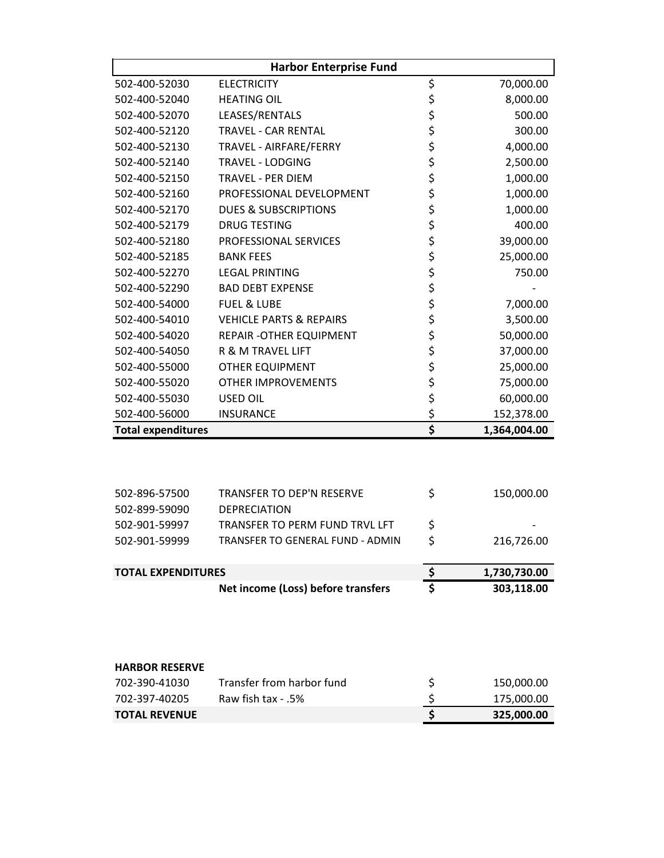| <b>Harbor Enterprise Fund</b> |                                       |                                 |              |
|-------------------------------|---------------------------------------|---------------------------------|--------------|
| 502-400-52030                 | <b>ELECTRICITY</b>                    | \$                              | 70,000.00    |
| 502-400-52040                 | <b>HEATING OIL</b>                    |                                 | 8,000.00     |
| 502-400-52070                 | LEASES/RENTALS                        |                                 | 500.00       |
| 502-400-52120                 | <b>TRAVEL - CAR RENTAL</b>            |                                 | 300.00       |
| 502-400-52130                 | TRAVEL - AIRFARE/FERRY                |                                 | 4,000.00     |
| 502-400-52140                 | <b>TRAVEL - LODGING</b>               |                                 | 2,500.00     |
| 502-400-52150                 | <b>TRAVEL - PER DIEM</b>              |                                 | 1,000.00     |
| 502-400-52160                 | PROFESSIONAL DEVELOPMENT              |                                 | 1,000.00     |
| 502-400-52170                 | <b>DUES &amp; SUBSCRIPTIONS</b>       |                                 | 1,000.00     |
| 502-400-52179                 | <b>DRUG TESTING</b>                   |                                 | 400.00       |
| 502-400-52180                 | PROFESSIONAL SERVICES                 |                                 | 39,000.00    |
| 502-400-52185                 | <b>BANK FEES</b>                      |                                 | 25,000.00    |
| 502-400-52270                 | <b>LEGAL PRINTING</b>                 |                                 | 750.00       |
| 502-400-52290                 | <b>BAD DEBT EXPENSE</b>               | さささささささ ささささ                    |              |
| 502-400-54000                 | <b>FUEL &amp; LUBE</b>                |                                 | 7,000.00     |
| 502-400-54010                 | <b>VEHICLE PARTS &amp; REPAIRS</b>    |                                 | 3,500.00     |
| 502-400-54020                 | REPAIR - OTHER EQUIPMENT              |                                 | 50,000.00    |
| 502-400-54050                 | R & M TRAVEL LIFT                     | \$\$\$\$                        | 37,000.00    |
| 502-400-55000                 | <b>OTHER EQUIPMENT</b>                |                                 | 25,000.00    |
| 502-400-55020                 | <b>OTHER IMPROVEMENTS</b>             |                                 | 75,000.00    |
| 502-400-55030                 | <b>USED OIL</b>                       |                                 | 60,000.00    |
| 502-400-56000                 | <b>INSURANCE</b>                      | \$                              | 152,378.00   |
| <b>Total expenditures</b>     |                                       | $\overline{\boldsymbol{\zeta}}$ | 1,364,004.00 |
|                               |                                       |                                 |              |
| 502-896-57500                 | TRANSFER TO DEP'N RESERVE             | \$                              | 150,000.00   |
| 502-899-59090                 | <b>DEPRECIATION</b>                   |                                 |              |
| 502-901-59997                 | <b>TRANSFER TO PERM FUND TRVL LFT</b> | \$                              |              |
| 502-901-59999                 | TRANSFER TO GENERAL FUND - ADMIN      | \$                              | 216,726.00   |

| <b>TOTAL EXPENDITURES</b>          | 1,730,730.00 |
|------------------------------------|--------------|
| Net income (Loss) before transfers | 303.118.00   |

#### **HARBOR RESERVE**

| 702-390-41030        | Transfer from harbor fund | 150,000.00 |
|----------------------|---------------------------|------------|
| 702-397-40205        | .5% - Raw fish tax        | 175,000.00 |
| <b>TOTAL REVENUE</b> |                           | 325.000.00 |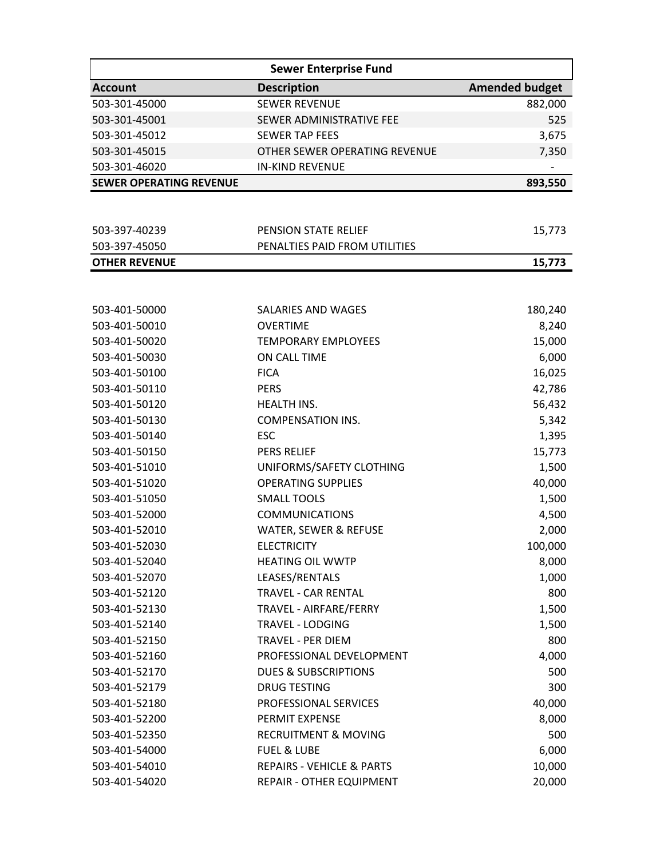|                                | <b>Sewer Enterprise Fund</b>         |                       |  |  |
|--------------------------------|--------------------------------------|-----------------------|--|--|
| <b>Account</b>                 | <b>Description</b>                   | <b>Amended budget</b> |  |  |
| 503-301-45000                  | <b>SEWER REVENUE</b>                 | 882,000               |  |  |
| 503-301-45001                  | SEWER ADMINISTRATIVE FEE             | 525                   |  |  |
| 503-301-45012                  | <b>SEWER TAP FEES</b>                | 3,675                 |  |  |
| 503-301-45015                  | OTHER SEWER OPERATING REVENUE        | 7,350                 |  |  |
| 503-301-46020                  | <b>IN-KIND REVENUE</b>               |                       |  |  |
| <b>SEWER OPERATING REVENUE</b> |                                      | 893,550               |  |  |
|                                |                                      |                       |  |  |
| 503-397-40239                  | PENSION STATE RELIEF                 | 15,773                |  |  |
| 503-397-45050                  | PENALTIES PAID FROM UTILITIES        |                       |  |  |
| <b>OTHER REVENUE</b>           |                                      | 15,773                |  |  |
|                                |                                      |                       |  |  |
| 503-401-50000                  | SALARIES AND WAGES                   | 180,240               |  |  |
| 503-401-50010                  | <b>OVERTIME</b>                      | 8,240                 |  |  |
| 503-401-50020                  | <b>TEMPORARY EMPLOYEES</b>           | 15,000                |  |  |
| 503-401-50030                  | ON CALL TIME                         | 6,000                 |  |  |
| 503-401-50100                  | <b>FICA</b>                          | 16,025                |  |  |
| 503-401-50110                  | <b>PERS</b>                          | 42,786                |  |  |
| 503-401-50120                  | <b>HEALTH INS.</b>                   | 56,432                |  |  |
| 503-401-50130                  | <b>COMPENSATION INS.</b>             | 5,342                 |  |  |
| 503-401-50140                  | <b>ESC</b>                           | 1,395                 |  |  |
| 503-401-50150                  | <b>PERS RELIEF</b>                   | 15,773                |  |  |
| 503-401-51010                  | UNIFORMS/SAFETY CLOTHING             | 1,500                 |  |  |
| 503-401-51020                  | <b>OPERATING SUPPLIES</b>            | 40,000                |  |  |
| 503-401-51050                  | <b>SMALL TOOLS</b>                   | 1,500                 |  |  |
| 503-401-52000                  | <b>COMMUNICATIONS</b>                | 4,500                 |  |  |
| 503-401-52010                  | WATER, SEWER & REFUSE                | 2,000                 |  |  |
| 503-401-52030                  | <b>ELECTRICITY</b>                   | 100,000               |  |  |
| 503-401-52040                  | <b>HEATING OIL WWTP</b>              | 8,000                 |  |  |
| 503-401-52070                  | LEASES/RENTALS                       | 1,000                 |  |  |
| 503-401-52120                  | <b>TRAVEL - CAR RENTAL</b>           | 800                   |  |  |
| 503-401-52130                  | TRAVEL - AIRFARE/FERRY               | 1,500                 |  |  |
| 503-401-52140                  | <b>TRAVEL - LODGING</b>              | 1,500                 |  |  |
| 503-401-52150                  | <b>TRAVEL - PER DIEM</b>             | 800                   |  |  |
| 503-401-52160                  | PROFESSIONAL DEVELOPMENT             | 4,000                 |  |  |
| 503-401-52170                  | <b>DUES &amp; SUBSCRIPTIONS</b>      | 500                   |  |  |
| 503-401-52179                  | <b>DRUG TESTING</b>                  | 300                   |  |  |
| 503-401-52180                  | PROFESSIONAL SERVICES                | 40,000                |  |  |
| 503-401-52200                  | PERMIT EXPENSE                       | 8,000                 |  |  |
| 503-401-52350                  | <b>RECRUITMENT &amp; MOVING</b>      | 500                   |  |  |
| 503-401-54000                  | <b>FUEL &amp; LUBE</b>               | 6,000                 |  |  |
| 503-401-54010                  | <b>REPAIRS - VEHICLE &amp; PARTS</b> | 10,000                |  |  |
| 503-401-54020                  | REPAIR - OTHER EQUIPMENT             | 20,000                |  |  |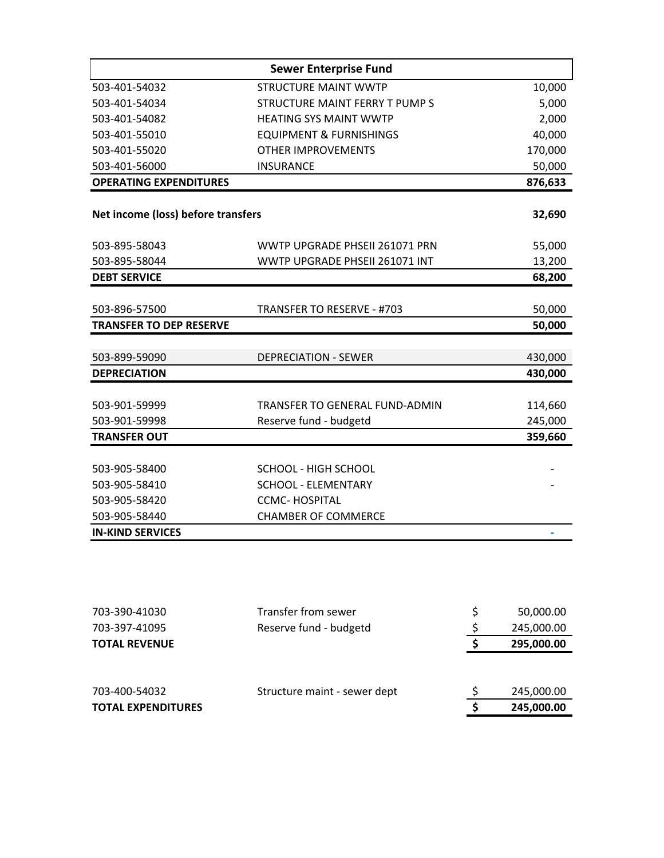| <b>Sewer Enterprise Fund</b>       |                                       |         |  |
|------------------------------------|---------------------------------------|---------|--|
| 503-401-54032                      | <b>STRUCTURE MAINT WWTP</b>           | 10,000  |  |
| 503-401-54034                      | STRUCTURE MAINT FERRY T PUMP S        | 5,000   |  |
| 503-401-54082                      | <b>HEATING SYS MAINT WWTP</b>         | 2,000   |  |
| 503-401-55010                      | <b>EQUIPMENT &amp; FURNISHINGS</b>    | 40,000  |  |
| 503-401-55020                      | <b>OTHER IMPROVEMENTS</b>             | 170,000 |  |
| 503-401-56000                      | <b>INSURANCE</b>                      | 50,000  |  |
| <b>OPERATING EXPENDITURES</b>      |                                       | 876,633 |  |
| Net income (loss) before transfers |                                       | 32,690  |  |
|                                    |                                       |         |  |
| 503-895-58043                      | WWTP UPGRADE PHSEII 261071 PRN        | 55,000  |  |
| 503-895-58044                      | WWTP UPGRADE PHSEII 261071 INT        | 13,200  |  |
| <b>DEBT SERVICE</b>                |                                       | 68,200  |  |
|                                    |                                       |         |  |
| 503-896-57500                      | TRANSFER TO RESERVE - #703            | 50,000  |  |
| <b>TRANSFER TO DEP RESERVE</b>     |                                       | 50,000  |  |
|                                    |                                       |         |  |
| 503-899-59090                      | <b>DEPRECIATION - SEWER</b>           | 430,000 |  |
| <b>DEPRECIATION</b>                |                                       | 430,000 |  |
|                                    |                                       |         |  |
| 503-901-59999                      | <b>TRANSFER TO GENERAL FUND-ADMIN</b> | 114,660 |  |
| 503-901-59998                      | Reserve fund - budgetd                | 245,000 |  |
| <b>TRANSFER OUT</b>                |                                       | 359,660 |  |
| 503-905-58400                      | SCHOOL - HIGH SCHOOL                  |         |  |
| 503-905-58410                      | <b>SCHOOL - ELEMENTARY</b>            |         |  |
| 503-905-58420                      | <b>CCMC-HOSPITAL</b>                  |         |  |
| 503-905-58440                      | <b>CHAMBER OF COMMERCE</b>            |         |  |
| <b>IN-KIND SERVICES</b>            |                                       |         |  |

| 703-390-41030             | Transfer from sewer          | 50,000.00  |
|---------------------------|------------------------------|------------|
| 703-397-41095             | Reserve fund - budgetd       | 245,000.00 |
| <b>TOTAL REVENUE</b>      |                              | 295,000.00 |
|                           |                              |            |
|                           |                              |            |
| 703-400-54032             | Structure maint - sewer dept | 245,000.00 |
| <b>TOTAL EXPENDITURES</b> |                              | 245,000.00 |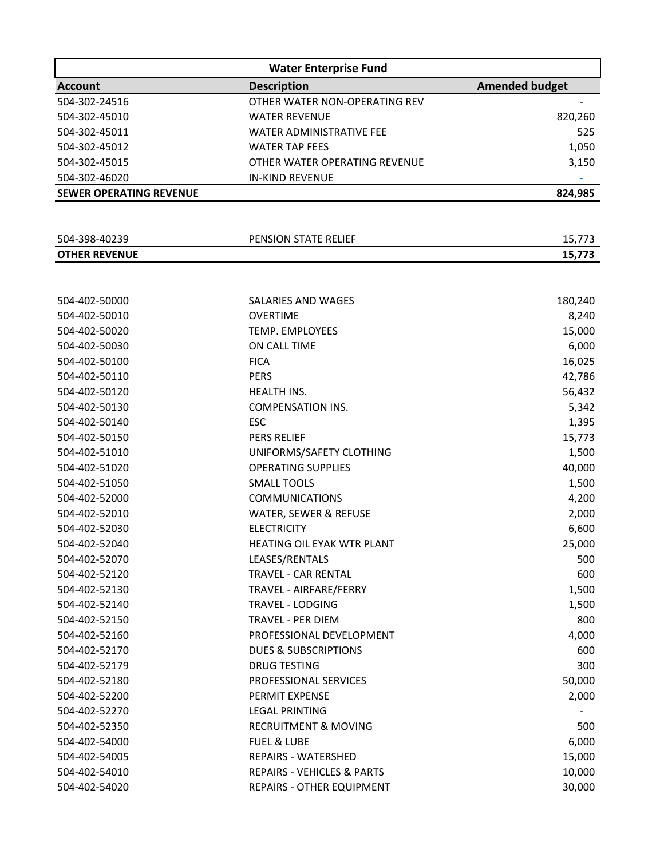|                                | <b>Water Enterprise Fund</b>          |                       |  |  |
|--------------------------------|---------------------------------------|-----------------------|--|--|
| <b>Account</b>                 | <b>Description</b>                    | <b>Amended budget</b> |  |  |
| 504-302-24516                  | OTHER WATER NON-OPERATING REV         |                       |  |  |
| 504-302-45010                  | <b>WATER REVENUE</b>                  | 820,260               |  |  |
| 504-302-45011                  | <b>WATER ADMINISTRATIVE FEE</b>       | 525                   |  |  |
| 504-302-45012                  | <b>WATER TAP FEES</b>                 | 1,050                 |  |  |
| 504-302-45015                  | OTHER WATER OPERATING REVENUE         | 3,150                 |  |  |
| 504-302-46020                  | <b>IN-KIND REVENUE</b>                |                       |  |  |
| <b>SEWER OPERATING REVENUE</b> |                                       | 824,985               |  |  |
|                                |                                       |                       |  |  |
|                                |                                       |                       |  |  |
| 504-398-40239                  | PENSION STATE RELIEF                  | 15,773                |  |  |
| <b>OTHER REVENUE</b>           |                                       | 15,773                |  |  |
|                                |                                       |                       |  |  |
| 504-402-50000                  | SALARIES AND WAGES                    | 180,240               |  |  |
| 504-402-50010                  | <b>OVERTIME</b>                       | 8,240                 |  |  |
| 504-402-50020                  | TEMP. EMPLOYEES                       | 15,000                |  |  |
| 504-402-50030                  | ON CALL TIME                          | 6,000                 |  |  |
| 504-402-50100                  | <b>FICA</b>                           | 16,025                |  |  |
| 504-402-50110                  | <b>PERS</b>                           | 42,786                |  |  |
| 504-402-50120                  | HEALTH INS.                           | 56,432                |  |  |
| 504-402-50130                  | <b>COMPENSATION INS.</b>              | 5,342                 |  |  |
| 504-402-50140                  | <b>ESC</b>                            | 1,395                 |  |  |
| 504-402-50150                  | PERS RELIEF                           | 15,773                |  |  |
| 504-402-51010                  | UNIFORMS/SAFETY CLOTHING              | 1,500                 |  |  |
| 504-402-51020                  | <b>OPERATING SUPPLIES</b>             | 40,000                |  |  |
| 504-402-51050                  | <b>SMALL TOOLS</b>                    | 1,500                 |  |  |
| 504-402-52000                  | <b>COMMUNICATIONS</b>                 | 4,200                 |  |  |
| 504-402-52010                  | WATER, SEWER & REFUSE                 | 2,000                 |  |  |
| 504-402-52030                  | <b>ELECTRICITY</b>                    | 6,600                 |  |  |
| 504-402-52040                  | HEATING OIL EYAK WTR PLANT            | 25,000                |  |  |
| 504-402-52070                  | LEASES/RENTALS                        | 500                   |  |  |
| 504-402-52120                  | <b>TRAVEL - CAR RENTAL</b>            | 600                   |  |  |
| 504-402-52130                  | TRAVEL - AIRFARE/FERRY                | 1,500                 |  |  |
| 504-402-52140                  | <b>TRAVEL - LODGING</b>               | 1,500                 |  |  |
| 504-402-52150                  | <b>TRAVEL - PER DIEM</b>              | 800                   |  |  |
| 504-402-52160                  | PROFESSIONAL DEVELOPMENT              | 4,000                 |  |  |
| 504-402-52170                  | <b>DUES &amp; SUBSCRIPTIONS</b>       | 600                   |  |  |
| 504-402-52179                  | <b>DRUG TESTING</b>                   | 300                   |  |  |
| 504-402-52180                  | PROFESSIONAL SERVICES                 | 50,000                |  |  |
| 504-402-52200                  | PERMIT EXPENSE                        | 2,000                 |  |  |
| 504-402-52270                  | <b>LEGAL PRINTING</b>                 |                       |  |  |
| 504-402-52350                  | <b>RECRUITMENT &amp; MOVING</b>       | 500                   |  |  |
| 504-402-54000                  | <b>FUEL &amp; LUBE</b>                | 6,000                 |  |  |
| 504-402-54005                  | REPAIRS - WATERSHED                   | 15,000                |  |  |
| 504-402-54010                  | <b>REPAIRS - VEHICLES &amp; PARTS</b> | 10,000                |  |  |
| 504-402-54020                  | REPAIRS - OTHER EQUIPMENT             | 30,000                |  |  |
|                                |                                       |                       |  |  |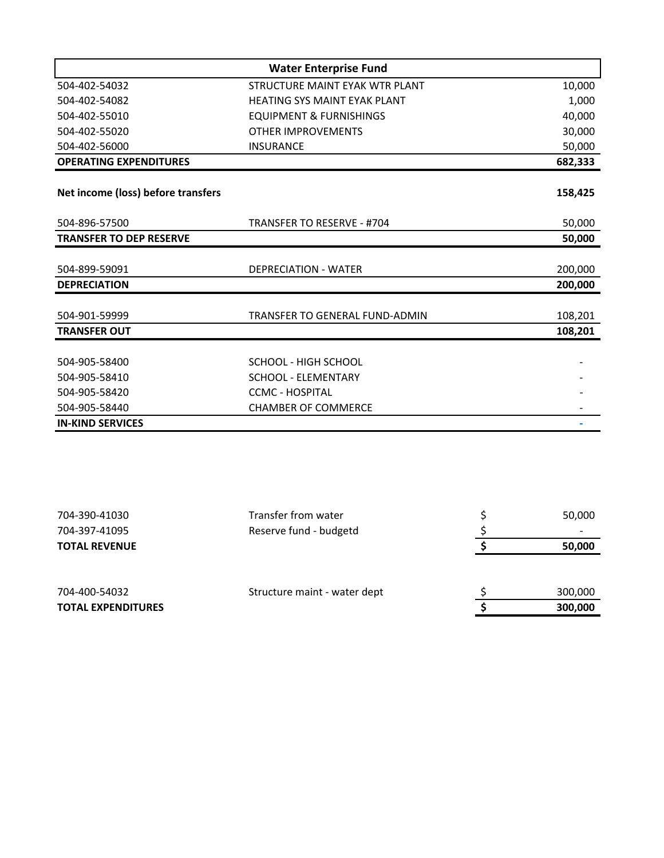|                                    | <b>Water Enterprise Fund</b>        |         |
|------------------------------------|-------------------------------------|---------|
| 504-402-54032                      | STRUCTURE MAINT EYAK WTR PLANT      | 10,000  |
| 504-402-54082                      | <b>HEATING SYS MAINT EYAK PLANT</b> | 1,000   |
| 504-402-55010                      | <b>EQUIPMENT &amp; FURNISHINGS</b>  | 40,000  |
| 504-402-55020                      | <b>OTHER IMPROVEMENTS</b>           | 30,000  |
| 504-402-56000                      | <b>INSURANCE</b>                    | 50,000  |
| <b>OPERATING EXPENDITURES</b>      |                                     | 682,333 |
| Net income (loss) before transfers |                                     | 158,425 |
| 504-896-57500                      | TRANSFER TO RESERVE - #704          | 50,000  |
| <b>TRANSFER TO DEP RESERVE</b>     |                                     | 50,000  |
|                                    |                                     |         |
| 504-899-59091                      | <b>DEPRECIATION - WATER</b>         | 200,000 |
| <b>DEPRECIATION</b>                |                                     | 200,000 |
| 504-901-59999                      | TRANSFER TO GENERAL FUND-ADMIN      | 108,201 |
| <b>TRANSFER OUT</b>                |                                     | 108,201 |
|                                    |                                     |         |
| 504-905-58400                      | SCHOOL - HIGH SCHOOL                |         |
| 504-905-58410                      | <b>SCHOOL - ELEMENTARY</b>          |         |
| 504-905-58420                      | <b>CCMC - HOSPITAL</b>              |         |
| 504-905-58440                      | <b>CHAMBER OF COMMERCE</b>          |         |
| <b>IN-KIND SERVICES</b>            |                                     |         |

| 704-390-41030             | Transfer from water          | 50,000  |
|---------------------------|------------------------------|---------|
| 704-397-41095             | Reserve fund - budgetd       |         |
| <b>TOTAL REVENUE</b>      |                              | 50,000  |
|                           |                              |         |
| 704-400-54032             | Structure maint - water dept | 300,000 |
| <b>TOTAL EXPENDITURES</b> |                              | 300,000 |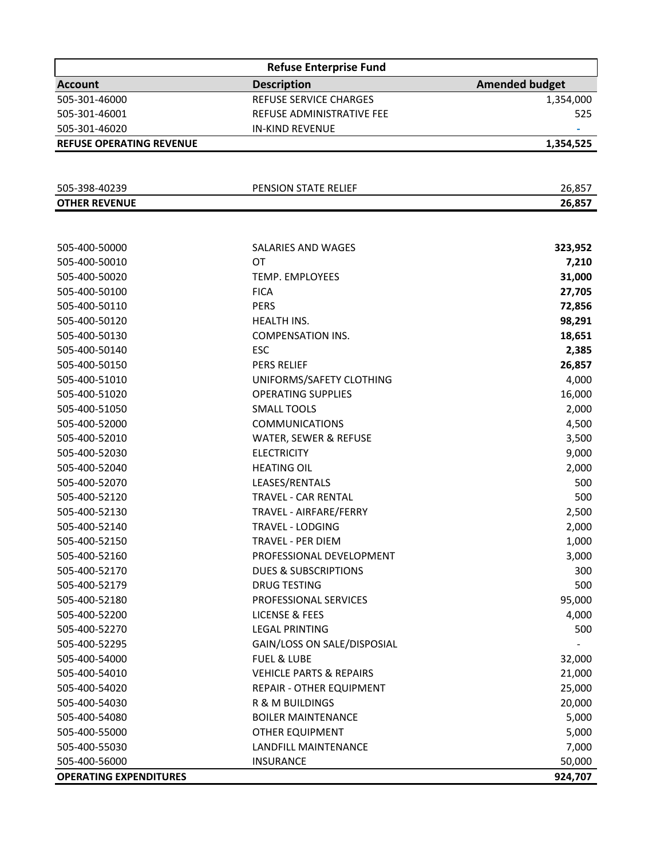| <b>Refuse Enterprise Fund</b>   |                                    |                       |  |
|---------------------------------|------------------------------------|-----------------------|--|
| <b>Account</b>                  | <b>Description</b>                 | <b>Amended budget</b> |  |
| 505-301-46000                   | REFUSE SERVICE CHARGES             | 1,354,000             |  |
| 505-301-46001                   | REFUSE ADMINISTRATIVE FEE          | 525                   |  |
| 505-301-46020                   | <b>IN-KIND REVENUE</b>             |                       |  |
| <b>REFUSE OPERATING REVENUE</b> |                                    | 1,354,525             |  |
|                                 |                                    |                       |  |
| 505-398-40239                   | PENSION STATE RELIEF               | 26,857                |  |
| <b>OTHER REVENUE</b>            |                                    | 26,857                |  |
|                                 |                                    |                       |  |
|                                 |                                    |                       |  |
| 505-400-50000                   | SALARIES AND WAGES                 | 323,952               |  |
| 505-400-50010                   | <b>OT</b>                          | 7,210                 |  |
| 505-400-50020                   | <b>TEMP. EMPLOYEES</b>             | 31,000                |  |
| 505-400-50100                   | <b>FICA</b>                        | 27,705                |  |
| 505-400-50110                   | <b>PERS</b>                        | 72,856                |  |
| 505-400-50120                   | HEALTH INS.                        | 98,291                |  |
| 505-400-50130                   | <b>COMPENSATION INS.</b>           | 18,651                |  |
| 505-400-50140                   | <b>ESC</b>                         | 2,385                 |  |
| 505-400-50150                   | PERS RELIEF                        | 26,857                |  |
| 505-400-51010                   | UNIFORMS/SAFETY CLOTHING           | 4,000                 |  |
| 505-400-51020                   | <b>OPERATING SUPPLIES</b>          | 16,000                |  |
| 505-400-51050                   | <b>SMALL TOOLS</b>                 | 2,000                 |  |
| 505-400-52000                   | <b>COMMUNICATIONS</b>              | 4,500                 |  |
| 505-400-52010                   | WATER, SEWER & REFUSE              | 3,500                 |  |
| 505-400-52030                   | <b>ELECTRICITY</b>                 | 9,000                 |  |
| 505-400-52040                   | <b>HEATING OIL</b>                 | 2,000                 |  |
| 505-400-52070                   | LEASES/RENTALS                     | 500                   |  |
| 505-400-52120                   | <b>TRAVEL - CAR RENTAL</b>         | 500                   |  |
| 505-400-52130                   | TRAVEL - AIRFARE/FERRY             | 2,500                 |  |
| 505-400-52140                   | TRAVEL - LODGING                   | 2,000                 |  |
| 505-400-52150                   | TRAVEL - PER DIEM                  | 1,000                 |  |
| 505-400-52160                   | PROFESSIONAL DEVELOPMENT           | 3,000                 |  |
| 505-400-52170                   | <b>DUES &amp; SUBSCRIPTIONS</b>    | 300                   |  |
| 505-400-52179                   | <b>DRUG TESTING</b>                | 500                   |  |
| 505-400-52180                   | PROFESSIONAL SERVICES              | 95,000                |  |
| 505-400-52200                   | <b>LICENSE &amp; FEES</b>          | 4,000                 |  |
| 505-400-52270                   | <b>LEGAL PRINTING</b>              | 500                   |  |
| 505-400-52295                   | GAIN/LOSS ON SALE/DISPOSIAL        |                       |  |
| 505-400-54000                   | <b>FUEL &amp; LUBE</b>             | 32,000                |  |
| 505-400-54010                   | <b>VEHICLE PARTS &amp; REPAIRS</b> | 21,000                |  |
| 505-400-54020                   | <b>REPAIR - OTHER EQUIPMENT</b>    | 25,000                |  |
| 505-400-54030                   | R & M BUILDINGS                    | 20,000                |  |
| 505-400-54080                   | <b>BOILER MAINTENANCE</b>          | 5,000                 |  |
| 505-400-55000                   | OTHER EQUIPMENT                    | 5,000                 |  |
| 505-400-55030                   | <b>LANDFILL MAINTENANCE</b>        | 7,000                 |  |
| 505-400-56000                   | <b>INSURANCE</b>                   | 50,000                |  |
| <b>OPERATING EXPENDITURES</b>   |                                    | 924,707               |  |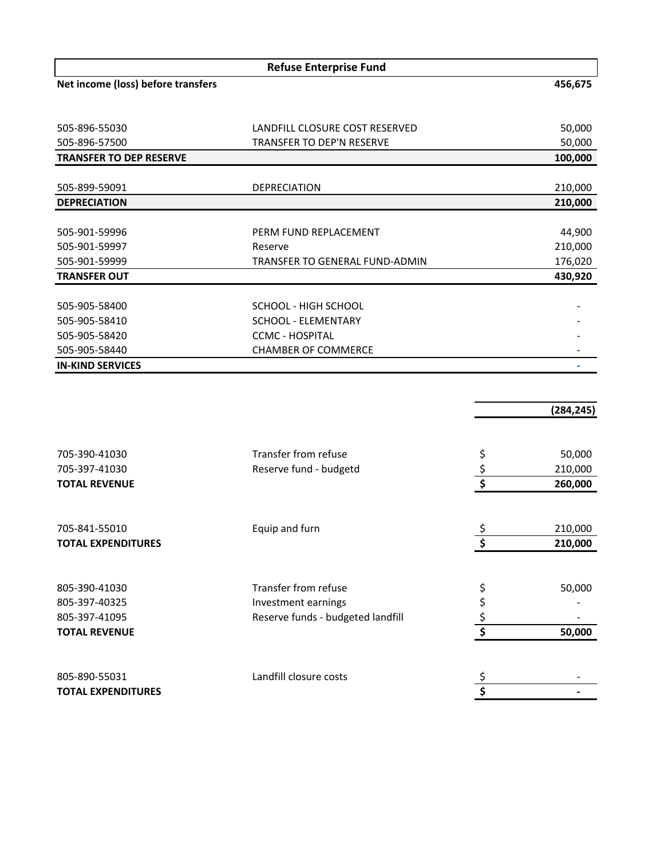| <b>Refuse Enterprise Fund</b>      |                                  |         |  |
|------------------------------------|----------------------------------|---------|--|
| Net income (loss) before transfers |                                  | 456,675 |  |
|                                    |                                  |         |  |
|                                    |                                  |         |  |
| 505-896-55030                      | LANDFILL CLOSURE COST RESERVED   | 50,000  |  |
| 505-896-57500                      | <b>TRANSFER TO DEP'N RESERVE</b> | 50,000  |  |
| <b>TRANSFER TO DEP RESERVE</b>     |                                  | 100,000 |  |
|                                    |                                  |         |  |
| 505-899-59091                      | <b>DEPRECIATION</b>              | 210,000 |  |
| <b>DEPRECIATION</b>                |                                  | 210,000 |  |
|                                    |                                  |         |  |
| 505-901-59996                      | PERM FUND REPLACEMENT            | 44,900  |  |
| 505-901-59997                      | Reserve                          | 210,000 |  |
| 505-901-59999                      | TRANSFER TO GENERAL FUND-ADMIN   | 176,020 |  |
| <b>TRANSFER OUT</b>                |                                  | 430,920 |  |
|                                    |                                  |         |  |
| 505-905-58400                      | SCHOOL - HIGH SCHOOL             |         |  |
| 505-905-58410                      | SCHOOL - ELEMENTARY              |         |  |
| 505-905-58420                      | <b>CCMC - HOSPITAL</b>           |         |  |
| 505-905-58440                      | <b>CHAMBER OF COMMERCE</b>       |         |  |
| <b>IN-KIND SERVICES</b>            |                                  |         |  |

|                           |                                   | (284, 245)    |
|---------------------------|-----------------------------------|---------------|
|                           |                                   |               |
| 705-390-41030             | Transfer from refuse              | 50,000        |
| 705-397-41030             | Reserve fund - budgetd            | 210,000       |
| <b>TOTAL REVENUE</b>      |                                   | \$<br>260,000 |
|                           |                                   |               |
| 705-841-55010             | Equip and furn                    | 210,000       |
| <b>TOTAL EXPENDITURES</b> |                                   | 210,000       |
|                           |                                   |               |
| 805-390-41030             | Transfer from refuse              | \$<br>50,000  |
| 805-397-40325             | Investment earnings               | \$            |
| 805-397-41095             | Reserve funds - budgeted landfill | \$            |
| <b>TOTAL REVENUE</b>      |                                   | \$<br>50,000  |
|                           |                                   |               |
| 805-890-55031             | Landfill closure costs            |               |
| <b>TOTAL EXPENDITURES</b> |                                   | \$            |